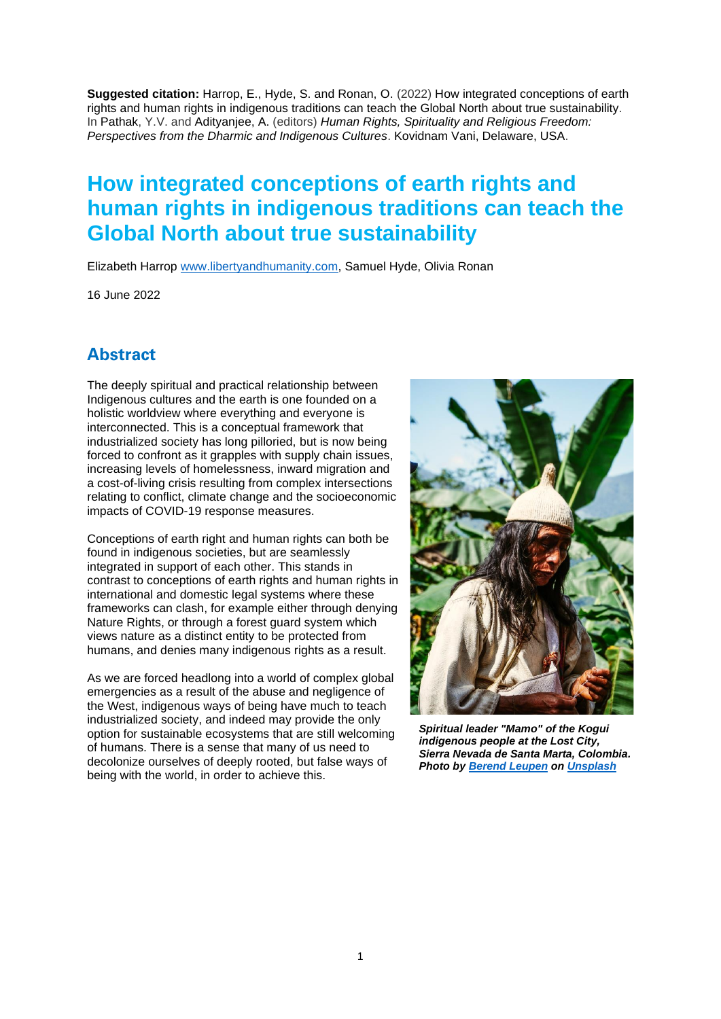**Suggested citation:** Harrop, E., Hyde, S. and Ronan, O. (2022) How integrated conceptions of earth rights and human rights in indigenous traditions can teach the Global North about true sustainability. In Pathak, Y.V. and Adityanjee, A. (editors) *Human Rights, Spirituality and Religious Freedom: Perspectives from the Dharmic and Indigenous Cultures*. Kovidnam Vani, Delaware, USA.

# **How integrated conceptions of earth rights and human rights in indigenous traditions can teach the Global North about true sustainability**

Elizabeth Harrop [www.libertyandhumanity.com,](http://www.libertyandhumanity.com/) Samuel Hyde, Olivia Ronan

16 June 2022

# **Abstract**

The deeply spiritual and practical relationship between Indigenous cultures and the earth is one founded on a holistic worldview where everything and everyone is interconnected. This is a conceptual framework that industrialized society has long pilloried, but is now being forced to confront as it grapples with supply chain issues. increasing levels of homelessness, inward migration and a cost-of-living crisis resulting from complex intersections relating to conflict, climate change and the socioeconomic impacts of COVID-19 response measures.

Conceptions of earth right and human rights can both be found in indigenous societies, but are seamlessly integrated in support of each other. This stands in contrast to conceptions of earth rights and human rights in international and domestic legal systems where these frameworks can clash, for example either through denying Nature Rights, or through a forest guard system which views nature as a distinct entity to be protected from humans, and denies many indigenous rights as a result.

As we are forced headlong into a world of complex global emergencies as a result of the abuse and negligence of the West, indigenous ways of being have much to teach industrialized society, and indeed may provide the only option for sustainable ecosystems that are still welcoming of humans. There is a sense that many of us need to decolonize ourselves of deeply rooted, but false ways of being with the world, in order to achieve this.



*Spiritual leader "Mamo" of the Kogui indigenous people at the Lost City, Sierra Nevada de Santa Marta, Colombia. Photo by [Berend Leupen](https://unsplash.com/@bcleupen?utm_source=unsplash&utm_medium=referral&utm_content=creditCopyText) on [Unsplash](https://unsplash.com/?utm_source=unsplash&utm_medium=referral&utm_content=creditCopyText)*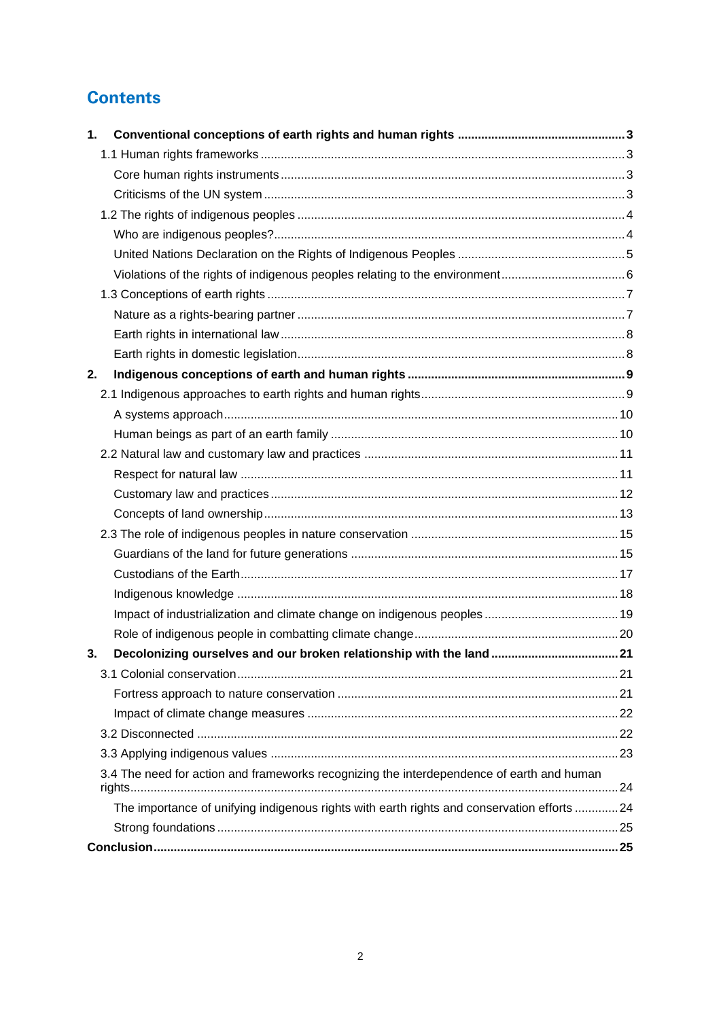# **Contents**

| $\mathbf 1$ .                                                                              |  |
|--------------------------------------------------------------------------------------------|--|
|                                                                                            |  |
|                                                                                            |  |
|                                                                                            |  |
|                                                                                            |  |
|                                                                                            |  |
|                                                                                            |  |
|                                                                                            |  |
|                                                                                            |  |
|                                                                                            |  |
|                                                                                            |  |
|                                                                                            |  |
| 2.                                                                                         |  |
|                                                                                            |  |
|                                                                                            |  |
|                                                                                            |  |
|                                                                                            |  |
|                                                                                            |  |
|                                                                                            |  |
|                                                                                            |  |
|                                                                                            |  |
|                                                                                            |  |
|                                                                                            |  |
|                                                                                            |  |
|                                                                                            |  |
|                                                                                            |  |
| 3.                                                                                         |  |
|                                                                                            |  |
|                                                                                            |  |
|                                                                                            |  |
|                                                                                            |  |
|                                                                                            |  |
| 3.4 The need for action and frameworks recognizing the interdependence of earth and human  |  |
| The importance of unifying indigenous rights with earth rights and conservation efforts 24 |  |
|                                                                                            |  |
|                                                                                            |  |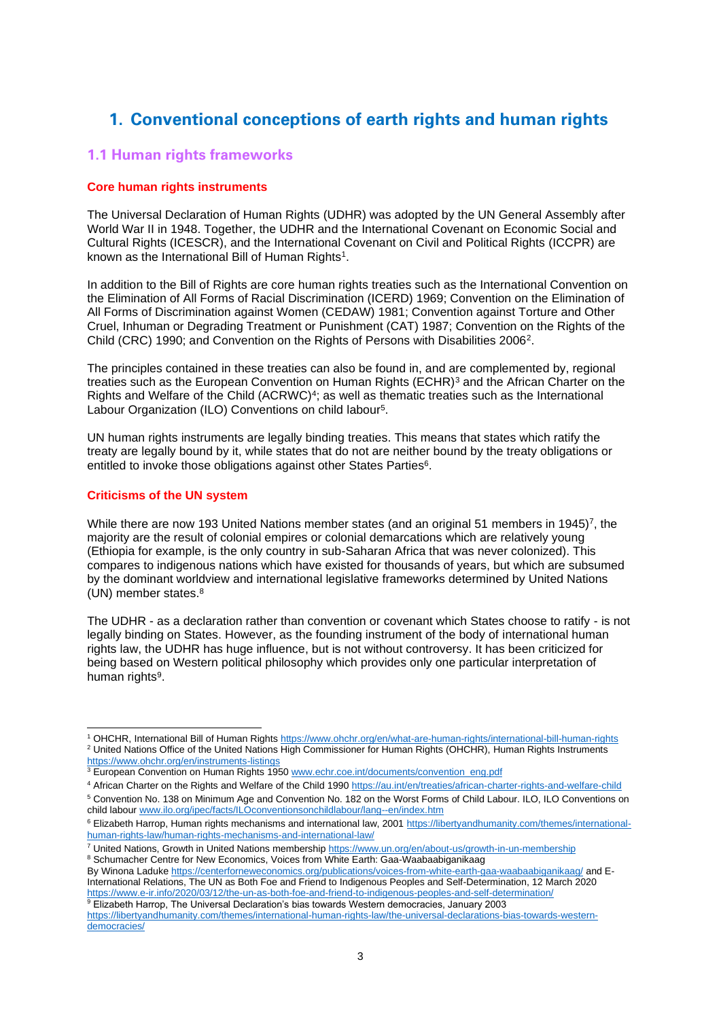# <span id="page-2-0"></span>**1. Conventional conceptions of earth rights and human rights**

## <span id="page-2-1"></span>**1.1 Human rights frameworks**

## <span id="page-2-2"></span>**Core human rights instruments**

The Universal Declaration of Human Rights (UDHR) was adopted by the UN General Assembly after World War II in 1948. Together, the UDHR and the International Covenant on Economic Social and Cultural Rights (ICESCR), and the International Covenant on Civil and Political Rights (ICCPR) are known as the International Bill of Human Rights<sup>1</sup>.

In addition to the Bill of Rights are core human rights treaties such as the International Convention on the Elimination of All Forms of Racial Discrimination (ICERD) 1969; Convention on the Elimination of All Forms of Discrimination against Women (CEDAW) 1981; Convention against Torture and Other Cruel, Inhuman or Degrading Treatment or Punishment (CAT) 1987; Convention on the Rights of the Child (CRC) 1990; and Convention on the Rights of Persons with Disabilities 2006<sup>2</sup> .

The principles contained in these treaties can also be found in, and are complemented by, regional treaties such as the European Convention on Human Rights (ECHR)<sup>3</sup> and the African Charter on the Rights and Welfare of the Child (ACRWC)<sup>4</sup>; as well as thematic treaties such as the International Labour Organization (ILO) Conventions on child labour<sup>5</sup>.

UN human rights instruments are legally binding treaties. This means that states which ratify the treaty are legally bound by it, while states that do not are neither bound by the treaty obligations or entitled to invoke those obligations against other States Parties<sup>6</sup>.

## <span id="page-2-3"></span>**Criticisms of the UN system**

While there are now 193 United Nations member states (and an original 51 members in 1945)<sup>7</sup>, the majority are the result of colonial empires or colonial demarcations which are relatively young (Ethiopia for example, is the only country in sub-Saharan Africa that was never colonized). This compares to indigenous nations which have existed for thousands of years, but which are subsumed by the dominant worldview and international legislative frameworks determined by United Nations (UN) member states.<sup>8</sup>

The UDHR - as a declaration rather than convention or covenant which States choose to ratify - is not legally binding on States. However, as the founding instrument of the body of international human rights law, the UDHR has huge influence, but is not without controversy. It has been criticized for being based on Western political philosophy which provides only one particular interpretation of human rights<sup>9</sup>.

<sup>5</sup> Convention No. 138 on Minimum Age and Convention No. 182 on the Worst Forms of Child Labour. ILO, ILO Conventions on child labour [www.ilo.org/ipec/facts/ILOconventionsonchildlabour/lang--en/index.htm](http://www.ilo.org/ipec/facts/ILOconventionsonchildlabour/lang--en/index.htm)

By Winona Laduk[e https://centerforneweconomics.org/publications/voices-from-white-earth-gaa-waabaabiganikaag/](https://centerforneweconomics.org/publications/voices-from-white-earth-gaa-waabaabiganikaag/) and E-International Relations, The UN as Both Foe and Friend to Indigenous Peoples and Self-Determination, 12 March 2020 <https://www.e-ir.info/2020/03/12/the-un-as-both-foe-and-friend-to-indigenous-peoples-and-self-determination/> <sup>9</sup> Elizabeth Harrop, The Universal Declaration's bias towards Western democracies, January 2003

<sup>&</sup>lt;sup>1</sup> OHCHR, International Bill of Human Right[s https://www.ohchr.org/en/what-are-human-rights/international-bill-human-rights](https://www.ohchr.org/en/what-are-human-rights/international-bill-human-rights) 2 United Nations Office of the United Nations High Commissioner for Human Rights (OHCHR), Human Rights Instruments <https://www.ohchr.org/en/instruments-listings>

<sup>&</sup>lt;sup>3</sup> European Convention on Human Rights 195[0 www.echr.coe.int/documents/convention\\_eng.pdf](http://www.echr.coe.int/documents/convention_eng.pdf)

<sup>4</sup> African Charter on the Rights and Welfare of the Child 199[0 https://au.int/en/treaties/african-charter-rights-and-welfare-child](https://au.int/en/treaties/african-charter-rights-and-welfare-child)

<sup>&</sup>lt;sup>6</sup> Elizabeth Harrop, Human rights mechanisms and international law, 2001 [https://libertyandhumanity.com/themes/international](https://libertyandhumanity.com/themes/international-human-rights-law/human-rights-mechanisms-and-international-law/)[human-rights-law/human-rights-mechanisms-and-international-law/](https://libertyandhumanity.com/themes/international-human-rights-law/human-rights-mechanisms-and-international-law/)

<sup>&</sup>lt;sup>7</sup> United Nations, Growth in United Nations membershi[p https://www.un.org/en/about-us/growth-in-un-membership](https://www.un.org/en/about-us/growth-in-un-membership) 8 Schumacher Centre for New Economics, Voices from White Earth: Gaa-Waabaabiganikaag

[https://libertyandhumanity.com/themes/international-human-rights-law/the-universal-declarations-bias-towards-western](https://libertyandhumanity.com/themes/international-human-rights-law/the-universal-declarations-bias-towards-western-democracies/)[democracies/](https://libertyandhumanity.com/themes/international-human-rights-law/the-universal-declarations-bias-towards-western-democracies/)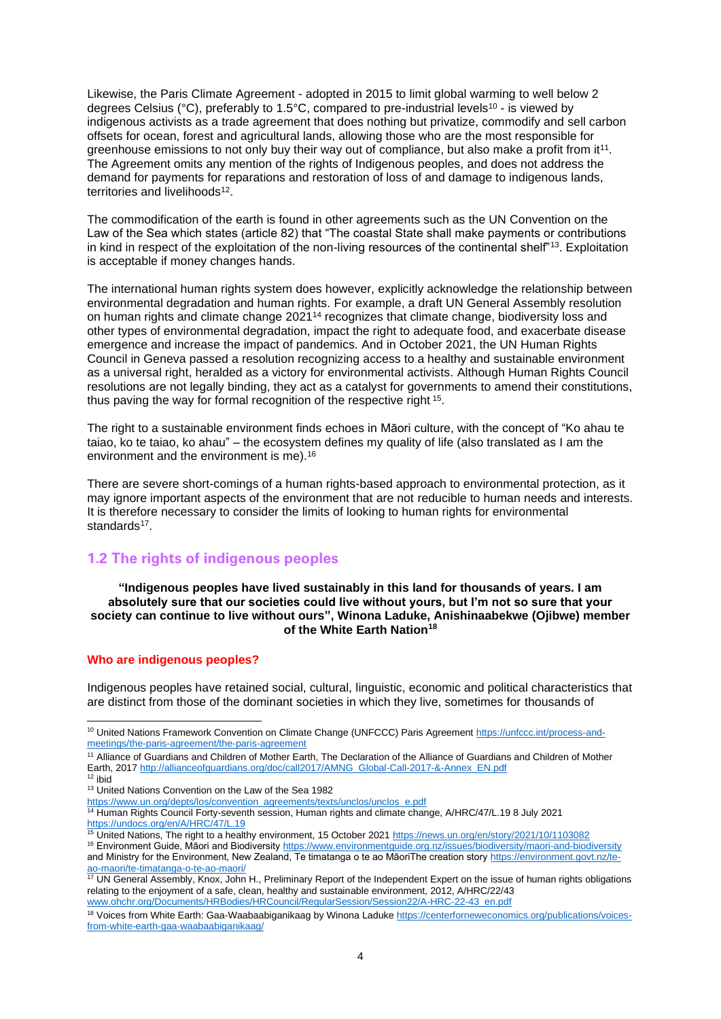Likewise, the Paris Climate Agreement - adopted in 2015 to limit global warming to well below 2 degrees Celsius ( $^{\circ}$ C), preferably to 1.5 $^{\circ}$ C, compared to pre-industrial levels<sup>10</sup> - is viewed by indigenous activists as a trade agreement that does nothing but privatize, commodify and sell carbon offsets for ocean, forest and agricultural lands, allowing those who are the most responsible for greenhouse emissions to not only buy their way out of compliance, but also make a profit from it<sup>11</sup>. The Agreement omits any mention of the rights of Indigenous peoples, and does not address the demand for payments for reparations and restoration of loss of and damage to indigenous lands, territories and livelihoods<sup>12</sup>.

The commodification of the earth is found in other agreements such as the UN Convention on the Law of the Sea which states (article 82) that "The coastal State shall make payments or contributions in kind in respect of the exploitation of the non-living resources of the continental shelf"<sup>13</sup>. Exploitation is acceptable if money changes hands.

The international human rights system does however, explicitly acknowledge the relationship between environmental degradation and human rights. For example, a draft UN General Assembly resolution on human rights and climate change 2021<sup>14</sup> recognizes that climate change, biodiversity loss and other types of environmental degradation, impact the right to adequate food, and exacerbate disease emergence and increase the impact of pandemics. And in October 2021, the UN Human Rights Council in Geneva passed a resolution recognizing access to a healthy and sustainable environment as a universal right, heralded as a victory for environmental activists. Although Human Rights Council resolutions are not legally binding, they act as a catalyst for governments to amend their constitutions, thus paving the way for formal recognition of the respective right <sup>15</sup>.

The right to a sustainable environment finds echoes in Māori culture, with the concept of "Ko ahau te taiao, ko te taiao, ko ahau" – the ecosystem defines my quality of life (also translated as I am the environment and the environment is me). 16

There are severe short-comings of a human rights-based approach to environmental protection, as it may ignore important aspects of the environment that are not reducible to human needs and interests. It is therefore necessary to consider the limits of looking to human rights for environmental standards<sup>17</sup>.

## <span id="page-3-0"></span>**1.2 The rights of indigenous peoples**

**"Indigenous peoples have lived sustainably in this land for thousands of years. I am absolutely sure that our societies could live without yours, but I'm not so sure that your society can continue to live without ours", Winona Laduke, Anishinaabekwe (Ojibwe) member of the White Earth Nation<sup>18</sup>**

## <span id="page-3-1"></span>**Who are indigenous peoples?**

Indigenous peoples have retained social, cultural, linguistic, economic and political characteristics that are distinct from those of the dominant societies in which they live, sometimes for thousands of

<sup>11</sup> Alliance of Guardians and Children of Mother Earth, The Declaration of the Alliance of Guardians and Children of Mother Earth, 201[7 http://allianceofguardians.org/doc/call2017/AMNG\\_Global-Call-2017-&-Annex\\_EN.pdf](http://allianceofguardians.org/doc/call2017/AMNG_Global-Call-2017-&-Annex_EN.pdf)

<sup>15</sup> United Nations, The right to a healthy environment, 15 October 202[1 https://news.un.org/en/story/2021/10/1103082](https://news.un.org/en/story/2021/10/1103082)

<sup>17</sup> UN General Assembly, Knox, John H., Preliminary Report of the Independent Expert on the issue of human rights obligations relating to the enjoyment of a safe, clean, healthy and sustainable environment, 2012, A/HRC/22/43 [www.ohchr.org/Documents/HRBodies/HRCouncil/RegularSession/Session22/A-HRC-22-43\\_en.pdf](http://www.ohchr.org/Documents/HRBodies/HRCouncil/RegularSession/Session22/A-HRC-22-43_en.pdf)

<sup>&</sup>lt;sup>10</sup> United Nations Framework Convention on Climate Change (UNFCCC) Paris Agreement [https://unfccc.int/process-and](https://unfccc.int/process-and-meetings/the-paris-agreement/the-paris-agreement)[meetings/the-paris-agreement/the-paris-agreement](https://unfccc.int/process-and-meetings/the-paris-agreement/the-paris-agreement)

 $12$  ibid

<sup>&</sup>lt;sup>13</sup> United Nations Convention on the Law of the Sea 1982

[https://www.un.org/depts/los/convention\\_agreements/texts/unclos/unclos\\_e.pdf](https://www.un.org/depts/los/convention_agreements/texts/unclos/unclos_e.pdf)

<sup>&</sup>lt;sup>14</sup> Human Rights Council Forty-seventh session, Human rights and climate change, A/HRC/47/L.19 8 July 2021 <https://undocs.org/en/A/HRC/47/L.19>

<sup>16</sup> Environment Guide, Māori and Biodiversit[y https://www.environmentguide.org.nz/issues/biodiversity/maori-and-biodiversity](https://www.environmentguide.org.nz/issues/biodiversity/maori-and-biodiversity) and Ministry for the Environment, New Zealand, Te timatanga o te ao MāoriThe creation story [https://environment.govt.nz/te](https://environment.govt.nz/te-ao-maori/te-timatanga-o-te-ao-maori/)[ao-maori/te-timatanga-o-te-ao-maori/](https://environment.govt.nz/te-ao-maori/te-timatanga-o-te-ao-maori/)

<sup>18</sup> Voices from White Earth: Gaa-Waabaabiganikaag by Winona Laduk[e https://centerforneweconomics.org/publications/voices](https://centerforneweconomics.org/publications/voices-from-white-earth-gaa-waabaabiganikaag/)[from-white-earth-gaa-waabaabiganikaag/](https://centerforneweconomics.org/publications/voices-from-white-earth-gaa-waabaabiganikaag/)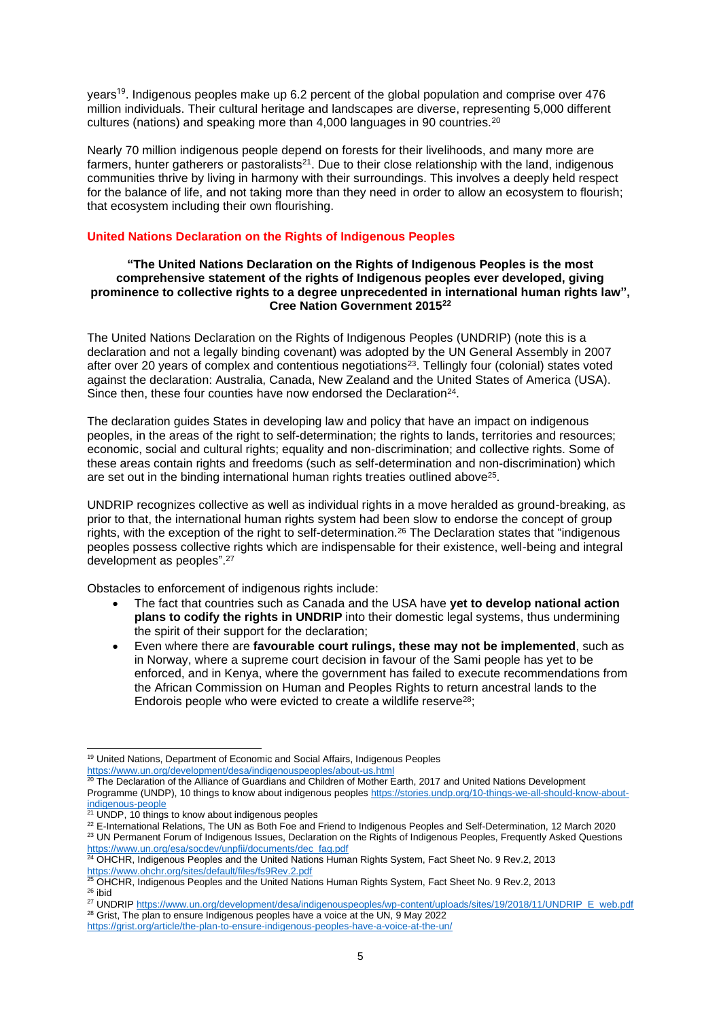years<sup>19</sup>. Indigenous peoples make up 6.2 percent of the global population and comprise over 476 million individuals. Their cultural heritage and landscapes are diverse, representing 5,000 different cultures (nations) and speaking more than 4,000 languages in 90 countries.<sup>20</sup>

Nearly 70 million indigenous people depend on forests for their livelihoods, and many more are farmers, hunter gatherers or pastoralists $21$ . Due to their close relationship with the land, indigenous communities thrive by living in harmony with their surroundings. This involves a deeply held respect for the balance of life, and not taking more than they need in order to allow an ecosystem to flourish; that ecosystem including their own flourishing.

## <span id="page-4-0"></span>**United Nations Declaration on the Rights of Indigenous Peoples**

### **"The United Nations Declaration on the Rights of Indigenous Peoples is the most comprehensive statement of the rights of Indigenous peoples ever developed, giving prominence to collective rights to a degree unprecedented in international human rights law", Cree Nation Government 2015<sup>22</sup>**

The United Nations Declaration on the Rights of Indigenous Peoples (UNDRIP) (note this is a declaration and not a legally binding covenant) was adopted by the UN General Assembly in 2007 after over 20 years of complex and contentious negotiations<sup>23</sup>. Tellingly four (colonial) states voted against the declaration: Australia, Canada, New Zealand and the United States of America (USA). Since then, these four counties have now endorsed the Declaration $24$ .

The declaration guides States in developing law and policy that have an impact on indigenous peoples, in the areas of the right to self-determination; the rights to lands, territories and resources; economic, social and cultural rights; equality and non-discrimination; and collective rights. Some of these areas contain rights and freedoms (such as self-determination and non-discrimination) which are set out in the binding international human rights treaties outlined above<sup>25</sup>.

UNDRIP recognizes collective as well as individual rights in a move heralded as ground-breaking, as prior to that, the international human rights system had been slow to endorse the concept of group rights, with the exception of the right to self-determination.<sup>26</sup> The Declaration states that "indigenous peoples possess collective rights which are indispensable for their existence, well-being and integral development as peoples".<sup>27</sup>

Obstacles to enforcement of indigenous rights include:

- The fact that countries such as Canada and the USA have **yet to develop national action plans to codify the rights in UNDRIP** into their domestic legal systems, thus undermining the spirit of their support for the declaration;
- Even where there are **favourable court rulings, these may not be implemented**, such as in Norway, where a supreme court decision in favour of the Sami people has yet to be enforced, and in Kenya, where the government has failed to execute recommendations from the African Commission on Human and Peoples Rights to return ancestral lands to the Endorois people who were evicted to create a wildlife reserve<sup>28</sup>;

<sup>28</sup> Grist, The plan to ensure Indigenous peoples have a voice at the UN, 9 May 2022

<sup>&</sup>lt;sup>19</sup> United Nations, Department of Economic and Social Affairs, Indigenous Peoples <https://www.un.org/development/desa/indigenouspeoples/about-us.html>

 $20$  The Declaration of the Alliance of Guardians and Children of Mother Earth, 2017 and United Nations Development Programme (UNDP), 10 things to know about indigenous people[s https://stories.undp.org/10-things-we-all-should-know-about](https://stories.undp.org/10-things-we-all-should-know-about-indigenous-people)[indigenous-people](https://stories.undp.org/10-things-we-all-should-know-about-indigenous-people)

<sup>&</sup>lt;sup>21</sup> UNDP, 10 things to know about indigenous peoples

<sup>22</sup> E-International Relations, The UN as Both Foe and Friend to Indigenous Peoples and Self-Determination, 12 March 2020 <sup>23</sup> UN Permanent Forum of Indigenous Issues, Declaration on the Rights of Indigenous Peoples, Frequently Asked Questions

[https://www.un.org/esa/socdev/unpfii/documents/dec\\_faq.pdf](https://www.un.org/esa/socdev/unpfii/documents/dec_faq.pdf) <sup>24</sup> OHCHR, Indigenous Peoples and the United Nations Human Rights System, Fact Sheet No. 9 Rev.2, 2013 <https://www.ohchr.org/sites/default/files/fs9Rev.2.pdf>

<sup>&</sup>lt;sup>25</sup> OHCHR, Indigenous Peoples and the United Nations Human Rights System, Fact Sheet No. 9 Rev.2, 2013  $26$  ibid

<sup>27</sup> UNDRI[P https://www.un.org/development/desa/indigenouspeoples/wp-content/uploads/sites/19/2018/11/UNDRIP\\_E\\_web.pdf](https://www.un.org/development/desa/indigenouspeoples/wp-content/uploads/sites/19/2018/11/UNDRIP_E_web.pdf)

<https://grist.org/article/the-plan-to-ensure-indigenous-peoples-have-a-voice-at-the-un/>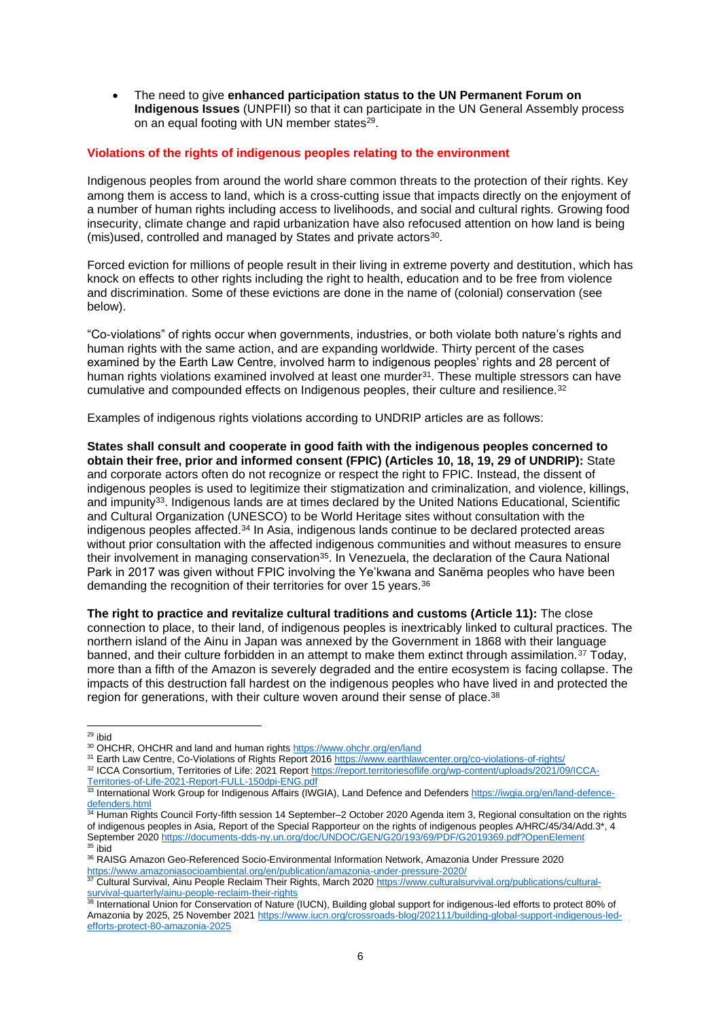• The need to give **enhanced participation status to the UN Permanent Forum on Indigenous Issues** (UNPFII) so that it can participate in the UN General Assembly process on an equal footing with UN member states<sup>29</sup>.

## <span id="page-5-0"></span>**Violations of the rights of indigenous peoples relating to the environment**

Indigenous peoples from around the world share common threats to the protection of their rights. Key among them is access to land, which is a cross-cutting issue that impacts directly on the enjoyment of a number of human rights including access to livelihoods, and social and cultural rights. Growing food insecurity, climate change and rapid urbanization have also refocused attention on how land is being (mis) used, controlled and managed by States and private actors<sup>30</sup>.

Forced eviction for millions of people result in their living in extreme poverty and destitution, which has knock on effects to other rights including the right to health, education and to be free from violence and discrimination. Some of these evictions are done in the name of (colonial) conservation (see below).

"Co-violations" of rights occur when governments, industries, or both violate both nature's rights and human rights with the same action, and are expanding worldwide. Thirty percent of the cases examined by the Earth Law Centre, involved harm to indigenous peoples' rights and 28 percent of human rights violations examined involved at least one murder<sup>31</sup>. These multiple stressors can have cumulative and compounded effects on Indigenous peoples, their culture and resilience.<sup>32</sup>

Examples of indigenous rights violations according to UNDRIP articles are as follows:

**States shall consult and cooperate in good faith with the indigenous peoples concerned to obtain their free, prior and informed consent (FPIC) (Articles 10, 18, 19, 29 of UNDRIP):** State and corporate actors often do not recognize or respect the right to FPIC. Instead, the dissent of indigenous peoples is used to legitimize their stigmatization and criminalization, and violence, killings, and impunity<sup>33</sup>. Indigenous lands are at times declared by the United Nations Educational, Scientific and Cultural Organization (UNESCO) to be World Heritage sites without consultation with the indigenous peoples affected.<sup>34</sup> In Asia, indigenous lands continue to be declared protected areas without prior consultation with the affected indigenous communities and without measures to ensure their involvement in managing conservation<sup>35</sup>. In Venezuela, the declaration of the Caura National Park in 2017 was given without FPIC involving the Ye'kwana and Sanëma peoples who have been demanding the recognition of their territories for over 15 years.<sup>36</sup>

**The right to practice and revitalize cultural traditions and customs (Article 11):** The close connection to place, to their land, of indigenous peoples is inextricably linked to cultural practices. The northern island of the Ainu in Japan was annexed by the Government in 1868 with their language banned, and their culture forbidden in an attempt to make them extinct through assimilation.<sup>37</sup> Today, more than a fifth of the Amazon is severely degraded and the entire ecosystem is facing collapse. The impacts of this destruction fall hardest on the indigenous peoples who have lived in and protected the region for generations, with their culture woven around their sense of place.<sup>38</sup>

 $29$  ibid

<sup>30</sup> OHCHR, OHCHR and land and human rights<https://www.ohchr.org/en/land>

<sup>31</sup> Earth Law Centre, Co-Violations of Rights Report 201[6 https://www.earthlawcenter.org/co-violations-of-rights/](https://www.earthlawcenter.org/co-violations-of-rights/) 32 ICCA Consortium, Territories of Life: 2021 Report [https://report.territoriesoflife.org/wp-content/uploads/2021/09/ICCA-](https://report.territoriesoflife.org/wp-content/uploads/2021/09/ICCA-Territories-of-Life-2021-Report-FULL-150dpi-ENG.pdf)

[Territories-of-Life-2021-Report-FULL-150dpi-ENG.pdf](https://report.territoriesoflife.org/wp-content/uploads/2021/09/ICCA-Territories-of-Life-2021-Report-FULL-150dpi-ENG.pdf)

<sup>33</sup> International Work Group for Indigenous Affairs (IWGIA), Land Defence and Defender[s https://iwgia.org/en/land-defence](https://iwgia.org/en/land-defence-defenders.html)[defenders.html](https://iwgia.org/en/land-defence-defenders.html)

<sup>&</sup>lt;sup>34</sup> Human Rights Council Forty-fifth session 14 September–2 October 2020 Agenda item 3, Regional consultation on the rights of indigenous peoples in Asia, Report of the Special Rapporteur on the rights of indigenous peoples A/HRC/45/34/Add.3\*, 4 September 202[0 https://documents-dds-ny.un.org/doc/UNDOC/GEN/G20/193/69/PDF/G2019369.pdf?OpenElement](https://documents-dds-ny.un.org/doc/UNDOC/GEN/G20/193/69/PDF/G2019369.pdf?OpenElement) <sup>35</sup> ibid

<sup>36</sup> RAISG Amazon Geo-Referenced Socio-Environmental Information Network, Amazonia Under Pressure 2020 <https://www.amazoniasocioambiental.org/en/publication/amazonia-under-pressure-2020/>

<sup>&</sup>lt;sup>37</sup> Cultural Survival, Ainu People Reclaim Their Rights, March 2020 [https://www.culturalsurvival.org/publications/cultural](https://www.culturalsurvival.org/publications/cultural-survival-quarterly/ainu-people-reclaim-their-rights)[survival-quarterly/ainu-people-reclaim-their-rights](https://www.culturalsurvival.org/publications/cultural-survival-quarterly/ainu-people-reclaim-their-rights)<br>
<sup>38</sup> International Union for C

International Union for Conservation of Nature (IUCN), Building global support for indigenous-led efforts to protect 80% of Amazonia by 2025, 25 November 2021 [https://www.iucn.org/crossroads-blog/202111/building-global-support-indigenous-led](https://www.iucn.org/crossroads-blog/202111/building-global-support-indigenous-led-efforts-protect-80-amazonia-2025)[efforts-protect-80-amazonia-2025](https://www.iucn.org/crossroads-blog/202111/building-global-support-indigenous-led-efforts-protect-80-amazonia-2025)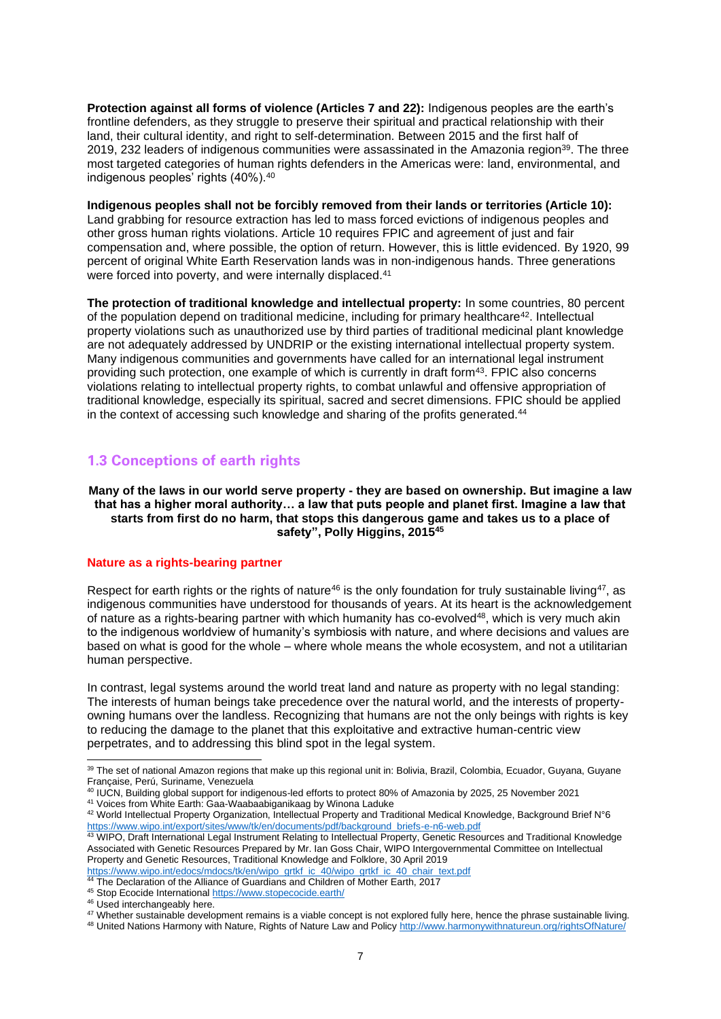**Protection against all forms of violence (Articles 7 and 22):** Indigenous peoples are the earth's frontline defenders, as they struggle to preserve their spiritual and practical relationship with their land, their cultural identity, and right to self-determination. Between 2015 and the first half of 2019, 232 leaders of indigenous communities were assassinated in the Amazonia region<sup>39</sup>. The three most targeted categories of human rights defenders in the Americas were: land, environmental, and indigenous peoples' rights (40%).<sup>40</sup>

**Indigenous peoples shall not be forcibly removed from their lands or territories (Article 10):**  Land grabbing for resource extraction has led to mass forced evictions of indigenous peoples and other gross human rights violations. Article 10 requires FPIC and agreement of just and fair compensation and, where possible, the option of return. However, this is little evidenced. By 1920, 99 percent of original White Earth Reservation lands was in non-indigenous hands. Three generations were forced into poverty, and were internally displaced.<sup>41</sup>

**The protection of traditional knowledge and intellectual property:** In some countries, 80 percent of the population depend on traditional medicine, including for primary healthcare<sup>42</sup>. Intellectual property violations such as unauthorized use by third parties of traditional medicinal plant knowledge are not adequately addressed by UNDRIP or the existing international intellectual property system. Many indigenous communities and governments have called for an international legal instrument providing such protection, one example of which is currently in draft form<sup>43</sup>. FPIC also concerns violations relating to intellectual property rights, to combat unlawful and offensive appropriation of traditional knowledge, especially its spiritual, sacred and secret dimensions. FPIC should be applied in the context of accessing such knowledge and sharing of the profits generated.<sup>44</sup>

## <span id="page-6-0"></span>**1.3 Conceptions of earth rights**

**Many of the laws in our world serve property - they are based on ownership. But imagine a law that has a higher moral authority… a law that puts people and planet first. Imagine a law that starts from first do no harm, that stops this dangerous game and takes us to a place of safety", Polly Higgins, 2015<sup>45</sup>**

## <span id="page-6-1"></span>**Nature as a rights-bearing partner**

Respect for earth rights or the rights of nature<sup>46</sup> is the only foundation for truly sustainable living<sup>47</sup>, as indigenous communities have understood for thousands of years. At its heart is the acknowledgement of nature as a rights-bearing partner with which humanity has co-evolved<sup>48</sup>, which is very much akin to the indigenous worldview of humanity's symbiosis with nature, and where decisions and values are based on what is good for the whole – where whole means the whole ecosystem, and not a utilitarian human perspective.

In contrast, legal systems around the world treat land and nature as property with no legal standing: The interests of human beings take precedence over the natural world, and the interests of propertyowning humans over the landless. Recognizing that humans are not the only beings with rights is key to reducing the damage to the planet that this exploitative and extractive human-centric view perpetrates, and to addressing this blind spot in the legal system.

<sup>39</sup> The set of national Amazon regions that make up this regional unit in: Bolivia, Brazil, Colombia, Ecuador, Guyana, Guyane Française, Perú, Suriname, Venezuela

<sup>40</sup> IUCN, Building global support for indigenous-led efforts to protect 80% of Amazonia by 2025, 25 November 2021 <sup>41</sup> Voices from White Earth: Gaa-Waabaabiganikaag by Winona Laduke

<sup>42</sup> World Intellectual Property Organization, Intellectual Property and Traditional Medical Knowledge, Background Brief N°6 [https://www.wipo.int/export/sites/www/tk/en/documents/pdf/background\\_briefs-e-n6-web.pdf](https://www.wipo.int/export/sites/www/tk/en/documents/pdf/background_briefs-e-n6-web.pdf)

<sup>43</sup> WIPO, Draft International Legal Instrument Relating to Intellectual Property, Genetic Resources and Traditional Knowledge Associated with Genetic Resources Prepared by Mr. Ian Goss Chair, WIPO Intergovernmental Committee on Intellectual Property and Genetic Resources, Traditional Knowledge and Folklore, 30 April 2019

[https://www.wipo.int/edocs/mdocs/tk/en/wipo\\_grtkf\\_ic\\_40/wipo\\_grtkf\\_ic\\_40\\_chair\\_text.pdf](https://www.wipo.int/edocs/mdocs/tk/en/wipo_grtkf_ic_40/wipo_grtkf_ic_40_chair_text.pdf) <sup>44</sup> The Declaration of the Alliance of Guardians and Children of Mother Earth, 2017

<sup>45</sup> Stop Ecocide Internationa[l https://www.stopecocide.earth/](https://www.stopecocide.earth/)

<sup>&</sup>lt;sup>46</sup> Used interchangeably here.

<sup>47</sup> Whether sustainable development remains is a viable concept is not explored fully here, hence the phrase sustainable living.

<sup>48</sup> United Nations Harmony with Nature, Rights of Nature Law and Policy<http://www.harmonywithnatureun.org/rightsOfNature/>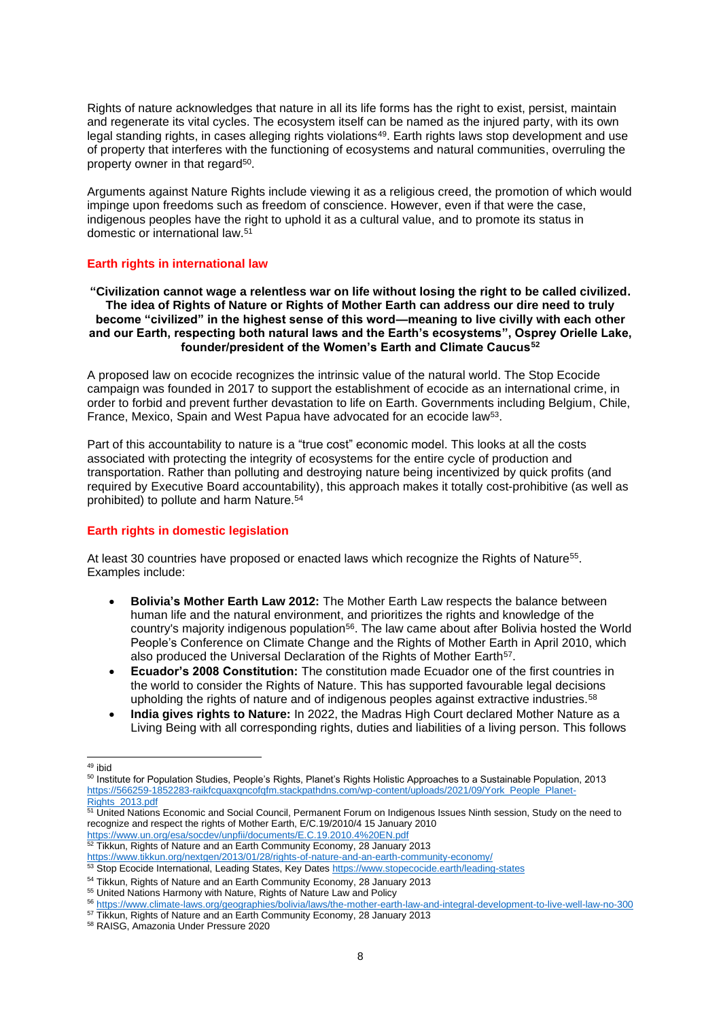Rights of nature acknowledges that nature in all its life forms has the right to exist, persist, maintain and regenerate its vital cycles. The ecosystem itself can be named as the injured party, with its own legal standing rights, in cases alleging rights violations<sup>49</sup>. Earth rights laws stop development and use of property that interferes with the functioning of ecosystems and natural communities, overruling the property owner in that regard<sup>50</sup>.

Arguments against Nature Rights include viewing it as a religious creed, the promotion of which would impinge upon freedoms such as freedom of conscience. However, even if that were the case, indigenous peoples have the right to uphold it as a cultural value, and to promote its status in domestic or international law.<sup>51</sup>

## <span id="page-7-0"></span>**Earth rights in international law**

**"Civilization cannot wage a relentless war on life without losing the right to be called civilized. The idea of Rights of Nature or Rights of Mother Earth can address our dire need to truly become "civilized" in the highest sense of this word—meaning to live civilly with each other and our Earth, respecting both natural laws and the Earth's ecosystems", Osprey Orielle Lake, founder/president of the Women's Earth and Climate Caucus<sup>52</sup>**

A proposed law on ecocide recognizes the intrinsic value of the natural world. The Stop Ecocide campaign was founded in 2017 to support the establishment of ecocide as an international crime, in order to forbid and prevent further devastation to life on Earth. Governments including Belgium, Chile, France, Mexico, Spain and West Papua have advocated for an ecocide law<sup>53</sup>.

Part of this accountability to nature is a "true cost" economic model. This looks at all the costs associated with protecting the integrity of ecosystems for the entire cycle of production and transportation. Rather than polluting and destroying nature being incentivized by quick profits (and required by Executive Board accountability), this approach makes it totally cost-prohibitive (as well as prohibited) to pollute and harm Nature.<sup>54</sup>

### <span id="page-7-1"></span>**Earth rights in domestic legislation**

At least 30 countries have proposed or enacted laws which recognize the Rights of Nature<sup>55</sup>. Examples include:

- **Bolivia's Mother Earth Law 2012:** The Mother Earth Law respects the balance between human life and the natural environment, and prioritizes the rights and knowledge of the country's majority indigenous population<sup>56</sup>. The law came about after Bolivia hosted the World People's Conference on Climate Change and the Rights of Mother Earth in April 2010, which also produced the Universal Declaration of the Rights of Mother Earth<sup>57</sup>.
- **Ecuador's 2008 Constitution:** The constitution made Ecuador one of the first countries in the world to consider the Rights of Nature. This has supported favourable legal decisions upholding the rights of nature and of indigenous peoples against extractive industries.<sup>58</sup>
- **India gives rights to Nature:** In 2022, the Madras High Court declared Mother Nature as a Living Being with all corresponding rights, duties and liabilities of a living person. This follows

<sup>49</sup> ibid

<sup>50</sup> Institute for Population Studies, People's Rights, Planet's Rights Holistic Approaches to a Sustainable Population, 2013 [https://566259-1852283-raikfcquaxqncofqfm.stackpathdns.com/wp-content/uploads/2021/09/York\\_People\\_Planet-](https://566259-1852283-raikfcquaxqncofqfm.stackpathdns.com/wp-content/uploads/2021/09/York_People_Planet-Rights_2013.pdf)[Rights\\_2013.pdf](https://566259-1852283-raikfcquaxqncofqfm.stackpathdns.com/wp-content/uploads/2021/09/York_People_Planet-Rights_2013.pdf)

 $51$  United Nations Economic and Social Council, Permanent Forum on Indigenous Issues Ninth session, Study on the need to recognize and respect the rights of Mother Earth, E/C.19/2010/4 15 January 2010

<https://www.un.org/esa/socdev/unpfii/documents/E.C.19.2010.4%20EN.pdf>  $52$  Tikkun, Rights of Nature and an Earth Community Economy, 28 January 2013

<https://www.tikkun.org/nextgen/2013/01/28/rights-of-nature-and-an-earth-community-economy/>

<sup>53</sup> Stop Ecocide International, Leading States, Key Dates <https://www.stopecocide.earth/leading-states>

<sup>&</sup>lt;sup>54</sup> Tikkun, Rights of Nature and an Earth Community Economy, 28 January 2013

<sup>55</sup> United Nations Harmony with Nature, Rights of Nature Law and Policy

<sup>56</sup> [https://www.climate-laws.org/geographies/bolivia/laws/the-mother-earth-law-and-integral-development-to-live-well-law-no-300](about:blank)

<sup>&</sup>lt;sup>57</sup> Tikkun, Rights of Nature and an Earth Community Economy, 28 January 2013

<sup>58</sup> RAISG, Amazonia Under Pressure 2020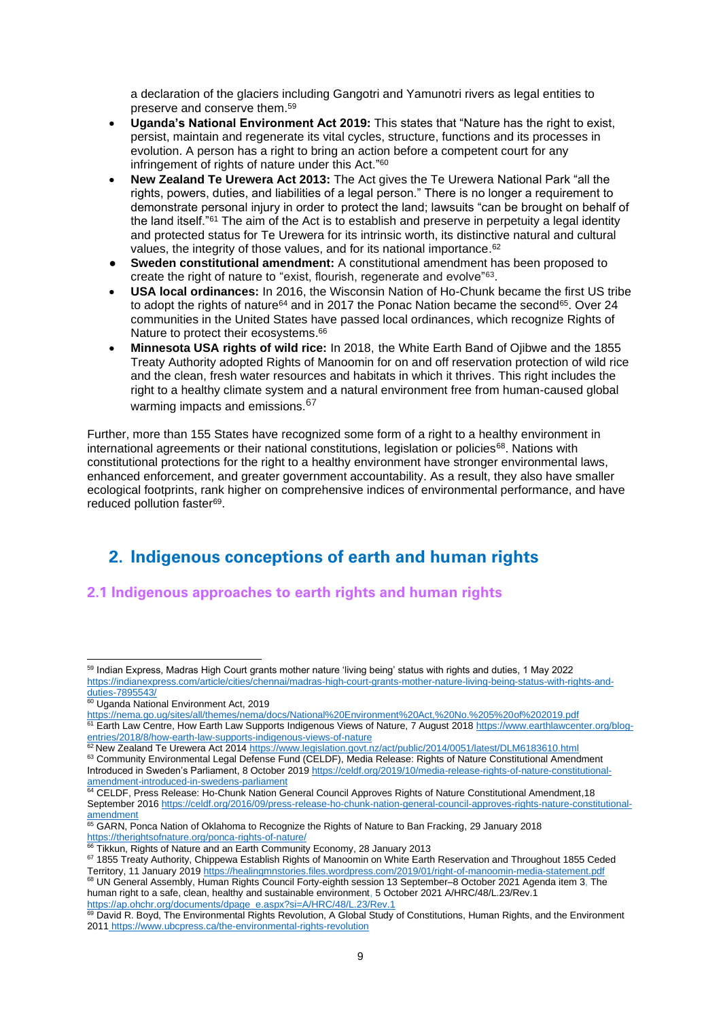a declaration of the glaciers including Gangotri and Yamunotri rivers as legal entities to preserve and conserve them. 59

- **Uganda's National Environment Act 2019:** This states that "Nature has the right to exist, persist, maintain and regenerate its vital cycles, structure, functions and its processes in evolution. A person has a right to bring an action before a competent court for any infringement of rights of nature under this Act." 60
- **New Zealand Te Urewera Act 2013:** The Act gives the Te Urewera National Park "all the rights, powers, duties, and liabilities of a legal person." There is no longer a requirement to demonstrate personal injury in order to protect the land; lawsuits "can be brought on behalf of the land itself."<sup>61</sup> The aim of the Act is to establish and preserve in perpetuity a legal identity and protected status for Te Urewera for its intrinsic worth, its distinctive natural and cultural values, the integrity of those values, and for its national importance.<sup>62</sup>
- **Sweden constitutional amendment:** A constitutional amendment has been proposed to create the right of nature to "exist, flourish, regenerate and evolve"<sup>63</sup>.
- **USA local ordinances:** In 2016, the Wisconsin Nation of Ho-Chunk became the first US tribe to adopt the rights of nature<sup>64</sup> and in 2017 the Ponac Nation became the second<sup>65</sup>. Over 24 communities in the United States have passed local ordinances, which recognize Rights of Nature to protect their ecosystems.<sup>66</sup>
- **Minnesota USA rights of wild rice:** In 2018, the White Earth Band of Ojibwe and the 1855 Treaty Authority adopted Rights of Manoomin for on and off reservation protection of wild rice and the clean, fresh water resources and habitats in which it thrives. This right includes the right to a healthy climate system and a natural environment free from human-caused global warming impacts and emissions.<sup>67</sup>

Further, more than 155 States have recognized some form of a right to a healthy environment in international agreements or their national constitutions, legislation or policies<sup>68</sup>. Nations with constitutional protections for the right to a healthy environment have stronger environmental laws. enhanced enforcement, and greater government accountability. As a result, they also have smaller ecological footprints, rank higher on comprehensive indices of environmental performance, and have reduced pollution faster<sup>69</sup>.

# <span id="page-8-0"></span>**2. Indigenous conceptions of earth and human rights**

# <span id="page-8-1"></span>**2.1 Indigenous approaches to earth rights and human rights**

<sup>&</sup>lt;sup>59</sup> Indian Express, Madras High Court grants mother nature 'living being' status with rights and duties, 1 May 2022 [https://indianexpress.com/article/cities/chennai/madras-high-court-grants-mother-nature-living-being-status-with-rights-and](https://indianexpress.com/article/cities/chennai/madras-high-court-grants-mother-nature-living-being-status-with-rights-and-duties-7895543/)[duties-7895543/](https://indianexpress.com/article/cities/chennai/madras-high-court-grants-mother-nature-living-being-status-with-rights-and-duties-7895543/)

<sup>&</sup>lt;sup>60</sup> Uganda National Environment Act, 2019

<https://nema.go.ug/sites/all/themes/nema/docs/National%20Environment%20Act,%20No.%205%20of%202019.pdf>

<sup>&</sup>lt;sup>61</sup> Earth Law Centre, How Earth Law Supports Indigenous Views of Nature, 7 August 2018 [https://www.earthlawcenter.org/blog](https://www.earthlawcenter.org/blog-entries/2018/8/how-earth-law-supports-indigenous-views-of-nature)[entries/2018/8/how-earth-law-supports-indigenous-views-of-nature](https://www.earthlawcenter.org/blog-entries/2018/8/how-earth-law-supports-indigenous-views-of-nature)

<sup>62</sup> New Zealand Te Urewera Act 2014<https://www.legislation.govt.nz/act/public/2014/0051/latest/DLM6183610.html>

<sup>63</sup> Community Environmental Legal Defense Fund (CELDF), Media Release: Rights of Nature Constitutional Amendment Introduced in Sweden's Parliament, 8 October 201[9 https://celdf.org/2019/10/media-release-rights-of-nature-constitutional](https://celdf.org/2019/10/media-release-rights-of-nature-constitutional-amendment-introduced-in-swedens-parliament)[amendment-introduced-in-swedens-parliament](https://celdf.org/2019/10/media-release-rights-of-nature-constitutional-amendment-introduced-in-swedens-parliament)

<sup>&</sup>lt;sup>64</sup> CELDF, Press Release: Ho-Chunk Nation General Council Approves Rights of Nature Constitutional Amendment,18 September 201[6 https://celdf.org/2016/09/press-release-ho-chunk-nation-general-council-approves-rights-nature-constitutional](https://celdf.org/2016/09/press-release-ho-chunk-nation-general-council-approves-rights-nature-constitutional-amendment)[amendment](https://celdf.org/2016/09/press-release-ho-chunk-nation-general-council-approves-rights-nature-constitutional-amendment)

<sup>&</sup>lt;sup>65</sup> GARN, Ponca Nation of Oklahoma to Recognize the Rights of Nature to Ban Fracking, 29 January 2018 <https://therightsofnature.org/ponca-rights-of-nature/>

<sup>&</sup>lt;sup>6</sup> Tikkun, Rights of Nature and an Earth Community Economy, 28 January 2013

<sup>67 1855</sup> Treaty Authority, Chippewa Establish Rights of Manoomin on White Earth Reservation and Throughout 1855 Ceded Territory, 11 January 2019<https://healingmnstories.files.wordpress.com/2019/01/right-of-manoomin-media-statement.pdf> <sup>68</sup> UN General Assembly, Human Rights Council Forty-eighth session 13 September–8 October 2021 Agenda item 3, The human right to a safe, clean, healthy and sustainable environment, 5 October 2021 A/HRC/48/L.23/Rev.1 [https://ap.ohchr.org/documents/dpage\\_e.aspx?si=A/HRC/48/L.23/Rev.1](https://ap.ohchr.org/documents/dpage_e.aspx?si=A/HRC/48/L.23/Rev.1)

<sup>69</sup> David R. Boyd, The Environmental Rights Revolution, A Global Study of Constitutions, Human Rights, and the Environment 2011 <https://www.ubcpress.ca/the-environmental-rights-revolution>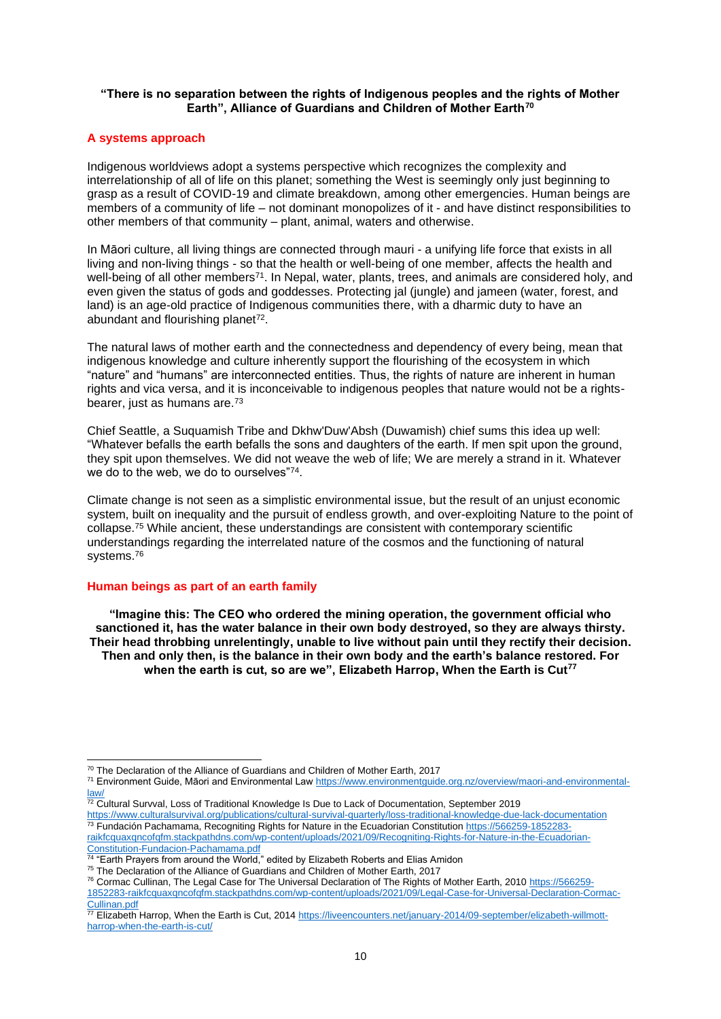## **"There is no separation between the rights of Indigenous peoples and the rights of Mother Earth", Alliance of Guardians and Children of Mother Earth<sup>70</sup>**

## <span id="page-9-0"></span>**A systems approach**

Indigenous worldviews adopt a systems perspective which recognizes the complexity and interrelationship of all of life on this planet; something the West is seemingly only just beginning to grasp as a result of COVID-19 and climate breakdown, among other emergencies. Human beings are members of a community of life – not dominant monopolizes of it - and have distinct responsibilities to other members of that community – plant, animal, waters and otherwise.

In Māori culture, all living things are connected through mauri - a unifying life force that exists in all living and non-living things - so that the health or well-being of one member, affects the health and well-being of all other members<sup>71</sup>. In Nepal, water, plants, trees, and animals are considered holy, and even given the status of gods and goddesses. Protecting jal (jungle) and jameen (water, forest, and land) is an age-old practice of Indigenous communities there, with a dharmic duty to have an abundant and flourishing planet<sup>72</sup>.

The natural laws of mother earth and the connectedness and dependency of every being, mean that indigenous knowledge and culture inherently support the flourishing of the ecosystem in which "nature" and "humans" are interconnected entities. Thus, the rights of nature are inherent in human rights and vica versa, and it is inconceivable to indigenous peoples that nature would not be a rightsbearer, just as humans are.<sup>73</sup>

Chief Seattle, a Suquamish Tribe and Dkhw'Duw'Absh (Duwamish) chief sums this idea up well: "Whatever befalls the earth befalls the sons and daughters of the earth. If men spit upon the ground, they spit upon themselves. We did not weave the web of life; We are merely a strand in it. Whatever we do to the web, we do to ourselves"74.

Climate change is not seen as a simplistic environmental issue, but the result of an unjust economic system, built on inequality and the pursuit of endless growth, and over-exploiting Nature to the point of collapse.<sup>75</sup> While ancient, these understandings are consistent with contemporary scientific understandings regarding the interrelated nature of the cosmos and the functioning of natural systems.<sup>76</sup>

### <span id="page-9-1"></span>**Human beings as part of an earth family**

**"Imagine this: The CEO who ordered the mining operation, the government official who sanctioned it, has the water balance in their own body destroyed, so they are always thirsty. Their head throbbing unrelentingly, unable to live without pain until they rectify their decision. Then and only then, is the balance in their own body and the earth's balance restored. For when the earth is cut, so are we", Elizabeth Harrop, When the Earth is Cut<sup>77</sup>**

<sup>&</sup>lt;sup>70</sup> The Declaration of the Alliance of Guardians and Children of Mother Earth, 2017

<sup>71</sup> Environment Guide, Māori and Environmental Law [https://www.environmentguide.org.nz/overview/maori-and-environmental](https://www.environmentguide.org.nz/overview/maori-and-environmental-law/)[law/](https://www.environmentguide.org.nz/overview/maori-and-environmental-law/)

 $72$  Cultural Survval, Loss of Traditional Knowledge Is Due to Lack of Documentation, September 2019

<https://www.culturalsurvival.org/publications/cultural-survival-quarterly/loss-traditional-knowledge-due-lack-documentation> <sup>73</sup> Fundación Pachamama, Recogniting Rights for Nature in the Ecuadorian Constitution [https://566259-1852283](https://566259-1852283-raikfcquaxqncofqfm.stackpathdns.com/wp-content/uploads/2021/09/Recogniting-Rights-for-Nature-in-the-Ecuadorian-Constitution-Fundacion-Pachamama.pdf) [raikfcquaxqncofqfm.stackpathdns.com/wp-content/uploads/2021/09/Recogniting-Rights-for-Nature-in-the-Ecuadorian-](https://566259-1852283-raikfcquaxqncofqfm.stackpathdns.com/wp-content/uploads/2021/09/Recogniting-Rights-for-Nature-in-the-Ecuadorian-Constitution-Fundacion-Pachamama.pdf)[Constitution-Fundacion-Pachamama.pdf](https://566259-1852283-raikfcquaxqncofqfm.stackpathdns.com/wp-content/uploads/2021/09/Recogniting-Rights-for-Nature-in-the-Ecuadorian-Constitution-Fundacion-Pachamama.pdf)

 $^{74}$  "Earth Prayers from around the World," edited by Elizabeth Roberts and Elias Amidon

<sup>&</sup>lt;sup>75</sup> The Declaration of the Alliance of Guardians and Children of Mother Earth, 2017

<sup>&</sup>lt;sup>76</sup> Cormac Cullinan, The Legal Case for The Universal Declaration of The Rights of Mother Earth, 2010 [https://566259-](https://566259-1852283-raikfcquaxqncofqfm.stackpathdns.com/wp-content/uploads/2021/09/Legal-Case-for-Universal-Declaration-Cormac-Cullinan.pdf)

[<sup>1852283-</sup>raikfcquaxqncofqfm.stackpathdns.com/wp-content/uploads/2021/09/Legal-Case-for-Universal-Declaration-Cormac-](https://566259-1852283-raikfcquaxqncofqfm.stackpathdns.com/wp-content/uploads/2021/09/Legal-Case-for-Universal-Declaration-Cormac-Cullinan.pdf)[Cullinan.pdf](https://566259-1852283-raikfcquaxqncofqfm.stackpathdns.com/wp-content/uploads/2021/09/Legal-Case-for-Universal-Declaration-Cormac-Cullinan.pdf)

<sup>77</sup> Elizabeth Harrop, When the Earth is Cut, 201[4 https://liveencounters.net/january-2014/09-september/elizabeth-willmott](https://liveencounters.net/january-2014/09-september/elizabeth-willmott-harrop-when-the-earth-is-cut/)[harrop-when-the-earth-is-cut/](https://liveencounters.net/january-2014/09-september/elizabeth-willmott-harrop-when-the-earth-is-cut/)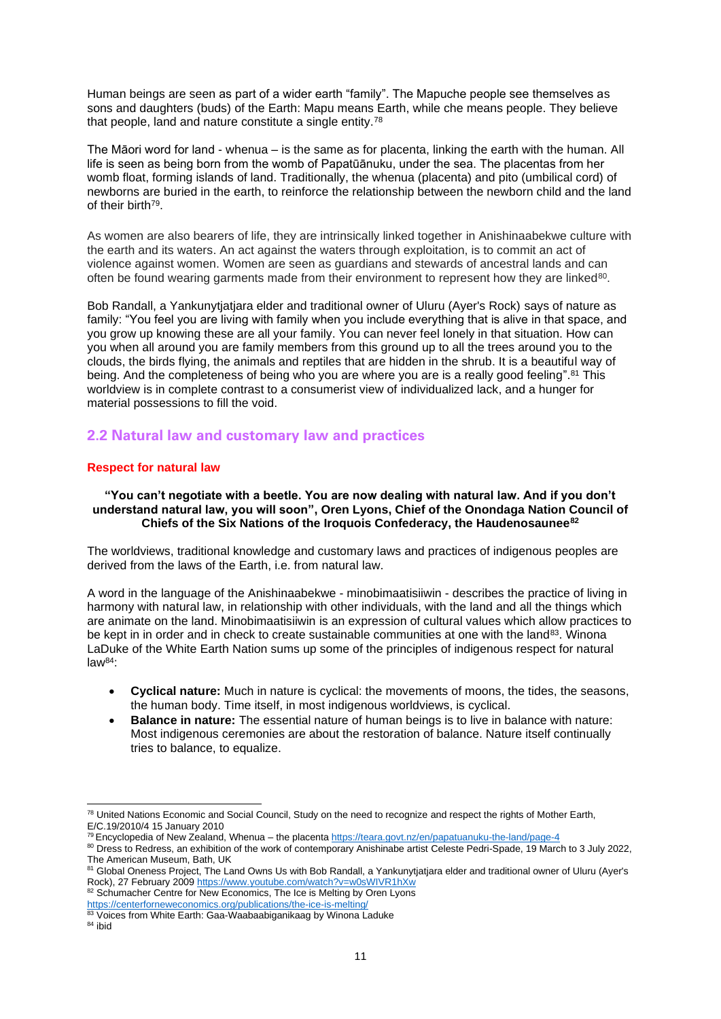Human beings are seen as part of a wider earth "family". The Mapuche people see themselves as sons and daughters (buds) of the Earth: Mapu means Earth, while che means people. They believe that people, land and nature constitute a single entity.<sup>78</sup>

The Māori word for land - whenua – is the same as for placenta, linking the earth with the human. All life is seen as being born from the womb of Papatūānuku, under the sea. The placentas from her womb float, forming islands of land. Traditionally, the whenua (placenta) and pito (umbilical cord) of newborns are buried in the earth, to reinforce the relationship between the newborn child and the land of their birth<sup>79</sup>.

As women are also bearers of life, they are intrinsically linked together in Anishinaabekwe culture with the earth and its waters. An act against the waters through exploitation, is to commit an act of violence against women. Women are seen as guardians and stewards of ancestral lands and can often be found wearing garments made from their environment to represent how they are linked $80$ .

Bob Randall, a Yankunytjatjara elder and traditional owner of Uluru (Ayer's Rock) says of nature as family: "You feel you are living with family when you include everything that is alive in that space, and you grow up knowing these are all your family. You can never feel lonely in that situation. How can you when all around you are family members from this ground up to all the trees around you to the clouds, the birds flying, the animals and reptiles that are hidden in the shrub. It is a beautiful way of being. And the completeness of being who you are where you are is a really good feeling".<sup>81</sup> This worldview is in complete contrast to a consumerist view of individualized lack, and a hunger for material possessions to fill the void.

# <span id="page-10-0"></span>**2.2 Natural law and customary law and practices**

## <span id="page-10-1"></span>**Respect for natural law**

## **"You can't negotiate with a beetle. You are now dealing with natural law. And if you don't understand natural law, you will soon", Oren Lyons, Chief of the Onondaga Nation Council of Chiefs of the Six Nations of the Iroquois Confederacy, the Haudenosaunee<sup>82</sup>**

The worldviews, traditional knowledge and customary laws and practices of indigenous peoples are derived from the laws of the Earth, i.e. from natural law.

A word in the language of the Anishinaabekwe - minobimaatisiiwin - describes the practice of living in harmony with natural law, in relationship with other individuals, with the land and all the things which are animate on the land. Minobimaatisiiwin is an expression of cultural values which allow practices to be kept in in order and in check to create sustainable communities at one with the land<sup>83</sup>. Winona LaDuke of the White Earth Nation sums up some of the principles of indigenous respect for natural  $law<sup>84</sup>$ :

- **Cyclical nature:** Much in nature is cyclical: the movements of moons, the tides, the seasons, the human body. Time itself, in most indigenous worldviews, is cyclical.
- **Balance in nature:** The essential nature of human beings is to live in balance with nature: Most indigenous ceremonies are about the restoration of balance. Nature itself continually tries to balance, to equalize.

<sup>82</sup> Schumacher Centre for New Economics, The Ice is Melting by Oren Lyons <https://centerforneweconomics.org/publications/the-ice-is-melting/>

<sup>&</sup>lt;sup>78</sup> United Nations Economic and Social Council, Study on the need to recognize and respect the rights of Mother Earth, E/C.19/2010/4 15 January 2010

<sup>&</sup>lt;sup>79</sup> Encyclopedia of New Zealand, Whenua – the placent[a https://teara.govt.nz/en/papatuanuku-the-land/page-4](https://teara.govt.nz/en/papatuanuku-the-land/page-4)

<sup>80</sup> Dress to Redress, an exhibition of the work of contemporary Anishinabe artist Celeste Pedri-Spade, 19 March to 3 July 2022, The American Museum, Bath, UK

<sup>81</sup> Global Oneness Project, The Land Owns Us with Bob Randall, a Yankunytjatjara elder and traditional owner of Uluru (Ayer's Rock), 27 February 2009 https://www.youtube.com/watch?v=w0sWIVR1hXw

<sup>83</sup> Voices from White Earth: Gaa-Waabaabiganikaag by Winona Laduke

<sup>84</sup> ibid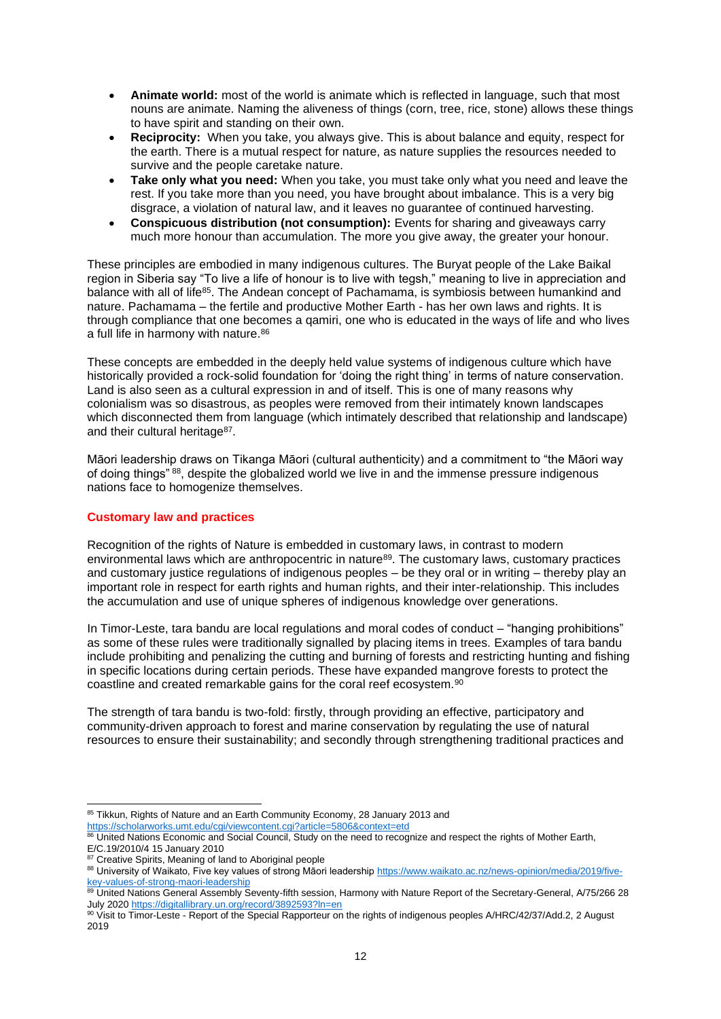- **Animate world:** most of the world is animate which is reflected in language, such that most nouns are animate. Naming the aliveness of things (corn, tree, rice, stone) allows these things to have spirit and standing on their own.
- **Reciprocity:** When you take, you always give. This is about balance and equity, respect for the earth. There is a mutual respect for nature, as nature supplies the resources needed to survive and the people caretake nature.
- **Take only what you need:** When you take, you must take only what you need and leave the rest. If you take more than you need, you have brought about imbalance. This is a very big disgrace, a violation of natural law, and it leaves no guarantee of continued harvesting.
- **Conspicuous distribution (not consumption):** Events for sharing and giveaways carry much more honour than accumulation. The more you give away, the greater your honour.

These principles are embodied in many indigenous cultures. The Buryat people of the Lake Baikal region in Siberia say "To live a life of honour is to live with tegsh," meaning to live in appreciation and balance with all of life<sup>85</sup>. The Andean concept of Pachamama, is symbiosis between humankind and nature. Pachamama – the fertile and productive Mother Earth - has her own laws and rights. It is through compliance that one becomes a qamiri, one who is educated in the ways of life and who lives a full life in harmony with nature.<sup>86</sup>

These concepts are embedded in the deeply held value systems of indigenous culture which have historically provided a rock-solid foundation for 'doing the right thing' in terms of nature conservation. Land is also seen as a cultural expression in and of itself. This is one of many reasons why colonialism was so disastrous, as peoples were removed from their intimately known landscapes which disconnected them from language (which intimately described that relationship and landscape) and their cultural heritage<sup>87</sup>.

Māori leadership draws on Tikanga Māori (cultural authenticity) and a commitment to "the Māori way of doing things" <sup>88</sup>, despite the globalized world we live in and the immense pressure indigenous nations face to homogenize themselves.

## <span id="page-11-0"></span>**Customary law and practices**

Recognition of the rights of Nature is embedded in customary laws, in contrast to modern environmental laws which are anthropocentric in nature<sup>89</sup>. The customary laws, customary practices and customary justice regulations of indigenous peoples – be they oral or in writing – thereby play an important role in respect for earth rights and human rights, and their inter-relationship. This includes the accumulation and use of unique spheres of indigenous knowledge over generations.

In Timor-Leste, tara bandu are local regulations and moral codes of conduct – "hanging prohibitions" as some of these rules were traditionally signalled by placing items in trees. Examples of tara bandu include prohibiting and penalizing the cutting and burning of forests and restricting hunting and fishing in specific locations during certain periods. These have expanded mangrove forests to protect the coastline and created remarkable gains for the coral reef ecosystem.<sup>90</sup>

The strength of tara bandu is two-fold: firstly, through providing an effective, participatory and community-driven approach to forest and marine conservation by regulating the use of natural resources to ensure their sustainability; and secondly through strengthening traditional practices and

<sup>85</sup> Tikkun, Rights of Nature and an Earth Community Economy, 28 January 2013 and

<https://scholarworks.umt.edu/cgi/viewcontent.cgi?article=5806&context=etd>

<sup>86</sup> United Nations Economic and Social Council, Study on the need to recognize and respect the rights of Mother Earth, E/C.19/2010/4 15 January 2010

<sup>&</sup>lt;sup>87</sup> Creative Spirits, Meaning of land to Aboriginal people

<sup>88</sup> University of Waikato, Five key values of strong Māori leadershi[p https://www.waikato.ac.nz/news-opinion/media/2019/five](https://www.waikato.ac.nz/news-opinion/media/2019/five-key-values-of-strong-maori-leadership)[key-values-of-strong-maori-leadership](https://www.waikato.ac.nz/news-opinion/media/2019/five-key-values-of-strong-maori-leadership)

<sup>89</sup> United Nations General Assembly Seventy-fifth session, Harmony with Nature Report of the Secretary-General, A/75/266 28 July 202[0 https://digitallibrary.un.org/record/3892593?ln=en](https://digitallibrary.un.org/record/3892593?ln=en)

<sup>90</sup> Visit to Timor-Leste - Report of the Special Rapporteur on the rights of indigenous peoples A/HRC/42/37/Add.2, 2 August 2019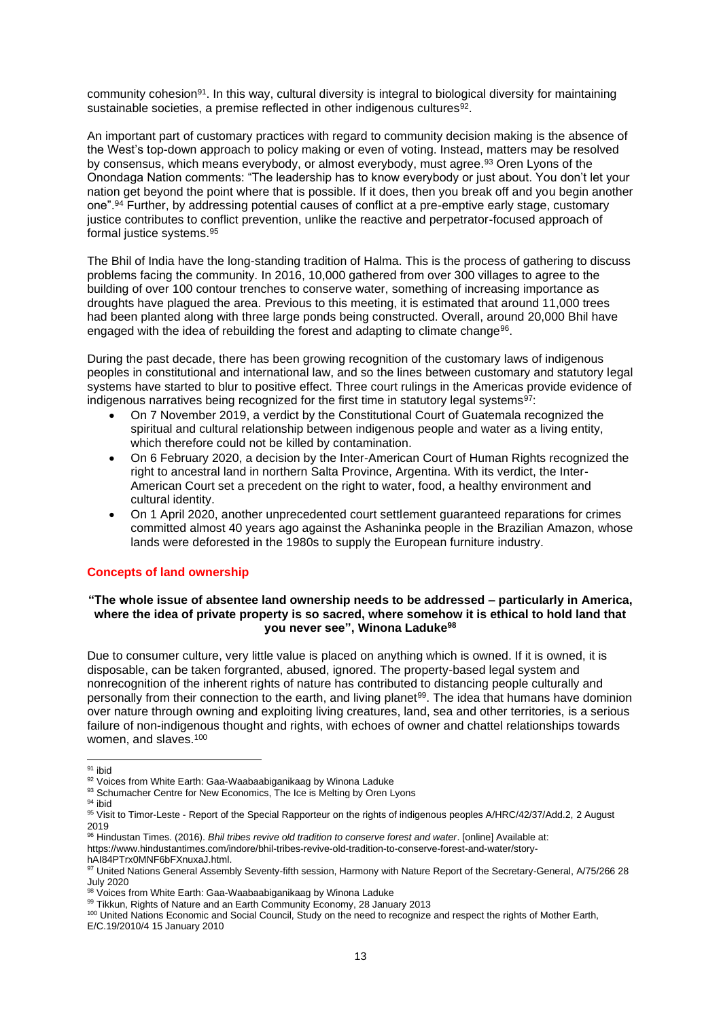community cohesion<sup>91</sup>. In this way, cultural diversity is integral to biological diversity for maintaining sustainable societies, a premise reflected in other indigenous cultures $92$ .

An important part of customary practices with regard to community decision making is the absence of the West's top-down approach to policy making or even of voting. Instead, matters may be resolved by consensus, which means everybody, or almost everybody, must agree.<sup>93</sup> Oren Lyons of the Onondaga Nation comments: "The leadership has to know everybody or just about. You don't let your nation get beyond the point where that is possible. If it does, then you break off and you begin another one".<sup>94</sup> Further, by addressing potential causes of conflict at a pre-emptive early stage, customary justice contributes to conflict prevention, unlike the reactive and perpetrator-focused approach of formal justice systems.<sup>95</sup>

The Bhil of India have the long-standing tradition of Halma. This is the process of gathering to discuss problems facing the community. In 2016, 10,000 gathered from over 300 villages to agree to the building of over 100 contour trenches to conserve water, something of increasing importance as droughts have plagued the area. Previous to this meeting, it is estimated that around 11,000 trees had been planted along with three large ponds being constructed. Overall, around 20,000 Bhil have engaged with the idea of rebuilding the forest and adapting to climate change<sup>96</sup>.

During the past decade, there has been growing recognition of the customary laws of indigenous peoples in constitutional and international law, and so the lines between customary and statutory legal systems have started to blur to positive effect. Three court rulings in the Americas provide evidence of indigenous narratives being recognized for the first time in statutory legal systems<sup>97</sup>:

- On 7 November 2019, a verdict by the Constitutional Court of Guatemala recognized the spiritual and cultural relationship between indigenous people and water as a living entity, which therefore could not be killed by contamination.
- On 6 February 2020, a decision by the Inter-American Court of Human Rights recognized the right to ancestral land in northern Salta Province, Argentina. With its verdict, the Inter-American Court set a precedent on the right to water, food, a healthy environment and cultural identity.
- On 1 April 2020, another unprecedented court settlement guaranteed reparations for crimes committed almost 40 years ago against the Ashaninka people in the Brazilian Amazon, whose lands were deforested in the 1980s to supply the European furniture industry.

## <span id="page-12-0"></span>**Concepts of land ownership**

## **"The whole issue of absentee land ownership needs to be addressed – particularly in America, where the idea of private property is so sacred, where somehow it is ethical to hold land that you never see", Winona Laduke<sup>98</sup>**

Due to consumer culture, very little value is placed on anything which is owned. If it is owned, it is disposable, can be taken forgranted, abused, ignored. The property-based legal system and nonrecognition of the inherent rights of nature has contributed to distancing people culturally and personally from their connection to the earth, and living planet<sup>99</sup>. The idea that humans have dominion over nature through owning and exploiting living creatures, land, sea and other territories, is a serious failure of non-indigenous thought and rights, with echoes of owner and chattel relationships towards women, and slaves.<sup>100</sup>

<sup>94</sup> ibid

<sup>&</sup>lt;sup>91</sup> ibid

<sup>92</sup> Voices from White Earth: Gaa-Waabaabiganikaag by Winona Laduke

<sup>93</sup> Schumacher Centre for New Economics, The Ice is Melting by Oren Lyons

<sup>95</sup> Visit to Timor-Leste - Report of the Special Rapporteur on the rights of indigenous peoples A/HRC/42/37/Add.2, 2 August 2019

<sup>96</sup> Hindustan Times. (2016). *Bhil tribes revive old tradition to conserve forest and water*. [online] Available at: https://www.hindustantimes.com/indore/bhil-tribes-revive-old-tradition-to-conserve-forest-and-water/storyhAI84PTrx0MNF6bFXnuxaJ.html.

<sup>97</sup> United Nations General Assembly Seventy-fifth session, Harmony with Nature Report of the Secretary-General, A/75/266 28 July 2020

<sup>98</sup> Voices from White Earth: Gaa-Waabaabiganikaag by Winona Laduke

<sup>99</sup> Tikkun, Rights of Nature and an Earth Community Economy, 28 January 2013

<sup>100</sup> United Nations Economic and Social Council, Study on the need to recognize and respect the rights of Mother Earth, E/C.19/2010/4 15 January 2010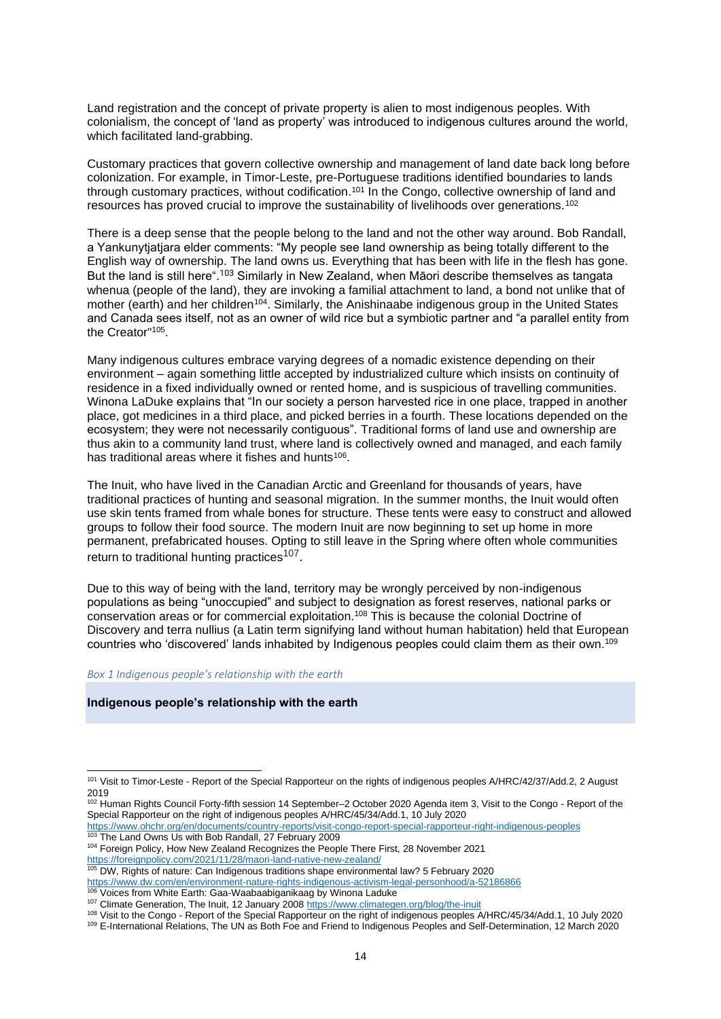Land registration and the concept of private property is alien to most indigenous peoples. With colonialism, the concept of 'land as property' was introduced to indigenous cultures around the world, which facilitated land-grabbing.

Customary practices that govern collective ownership and management of land date back long before colonization. For example, in Timor-Leste, pre-Portuguese traditions identified boundaries to lands through customary practices, without codification. <sup>101</sup> In the Congo, collective ownership of land and resources has proved crucial to improve the sustainability of livelihoods over generations.<sup>102</sup>

There is a deep sense that the people belong to the land and not the other way around. Bob Randall, a Yankunytiatiara elder comments: "My people see land ownership as being totally different to the English way of ownership. The land owns us. Everything that has been with life in the flesh has gone. But the land is still here".<sup>103</sup> Similarly in New Zealand, when Māori describe themselves as tangata whenua (people of the land), they are invoking a familial attachment to land, a bond not unlike that of mother (earth) and her children<sup>104</sup>. Similarly, the Anishinaabe indigenous group in the United States and Canada sees itself, not as an owner of wild rice but a symbiotic partner and "a parallel entity from the Creator"<sup>105</sup> .

Many indigenous cultures embrace varying degrees of a nomadic existence depending on their environment – again something little accepted by industrialized culture which insists on continuity of residence in a fixed individually owned or rented home, and is suspicious of travelling communities. Winona LaDuke explains that "In our society a person harvested rice in one place, trapped in another place, got medicines in a third place, and picked berries in a fourth. These locations depended on the ecosystem; they were not necessarily contiguous". Traditional forms of land use and ownership are thus akin to a community land trust, where land is collectively owned and managed, and each family has traditional areas where it fishes and hunts<sup>106</sup>.

The Inuit, who have lived in the Canadian Arctic and Greenland for thousands of years, have traditional practices of hunting and seasonal migration. In the summer months, the Inuit would often use skin tents framed from whale bones for structure. These tents were easy to construct and allowed groups to follow their food source. The modern Inuit are now beginning to set up home in more permanent, prefabricated houses. Opting to still leave in the Spring where often whole communities return to traditional hunting practices<sup>107</sup>.

Due to this way of being with the land, territory may be wrongly perceived by non-indigenous populations as being "unoccupied" and subject to designation as forest reserves, national parks or conservation areas or for commercial exploitation.<sup>108</sup> This is because the colonial Doctrine of Discovery and terra nullius (a Latin term signifying land without human habitation) held that European countries who 'discovered' lands inhabited by Indigenous peoples could claim them as their own.<sup>109</sup>

#### *Box 1 Indigenous people's relationship with the earth*

#### **Indigenous people's relationship with the earth**

<https://www.ohchr.org/en/documents/country-reports/visit-congo-report-special-rapporteur-right-indigenous-peoples> 103 The Land Owns Us with Bob Randall, 27 February 2009

<sup>105</sup> DW, Rights of nature: Can Indigenous traditions shape environmental law? 5 February 2020

<sup>&</sup>lt;sup>101</sup> Visit to Timor-Leste - Report of the Special Rapporteur on the rights of indigenous peoples A/HRC/42/37/Add.2, 2 August 2019

<sup>102</sup> Human Rights Council Forty-fifth session 14 September–2 October 2020 Agenda item 3, Visit to the Congo - Report of the Special Rapporteur on the right of indigenous peoples A/HRC/45/34/Add.1, 10 July 2020

<sup>104</sup> Foreign Policy, How New Zealand Recognizes the People There First, 28 November 2021 <https://foreignpolicy.com/2021/11/28/maori-land-native-new-zealand/>

[https://www.dw.com/en/environment-nature-rights-indigenous-activism-legal-personhood/a-52186866](about:blank) 106 Voices from White Earth: Gaa-Waabaabiganikaag by Winona Laduke

<sup>107</sup> Climate Generation, The Inuit, 12 January 200[8 https://www.climategen.org/blog/the-inuit](https://www.climategen.org/blog/the-inuit)

<sup>108</sup> Visit to the Congo - Report of the Special Rapporteur on the right of indigenous peoples A/HRC/45/34/Add.1, 10 July 2020

<sup>109</sup> E-International Relations, The UN as Both Foe and Friend to Indigenous Peoples and Self-Determination, 12 March 2020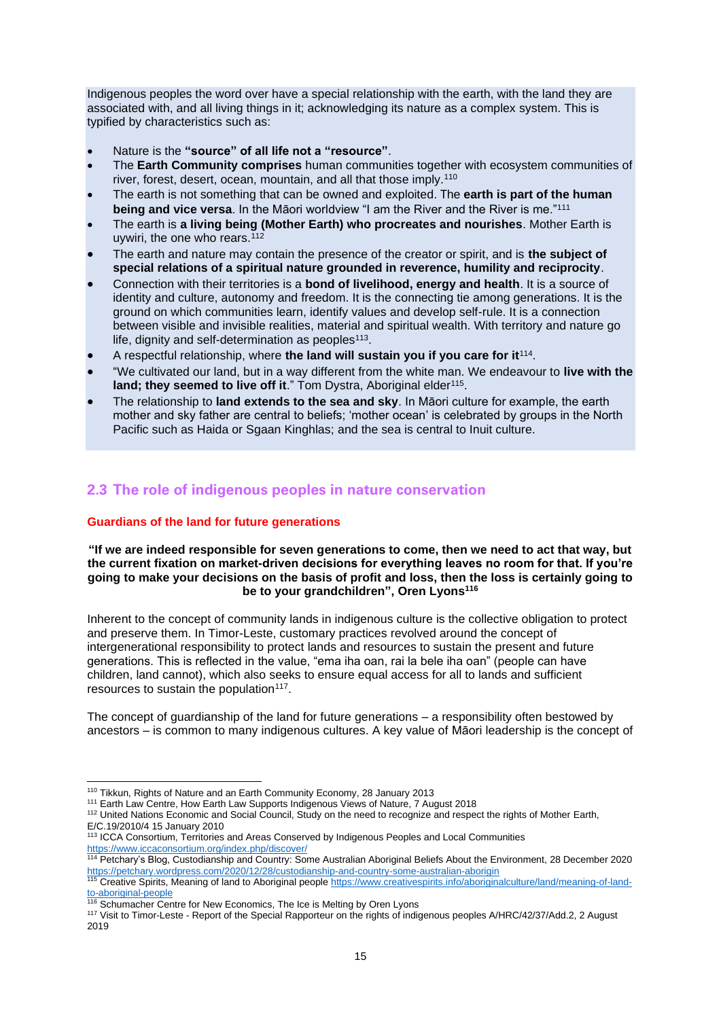Indigenous peoples the word over have a special relationship with the earth, with the land they are associated with, and all living things in it; acknowledging its nature as a complex system. This is typified by characteristics such as:

- Nature is the **"source" of all life not a "resource"**.
- The **Earth Community comprises** human communities together with ecosystem communities of river, forest, desert, ocean, mountain, and all that those imply.<sup>110</sup>
- The earth is not something that can be owned and exploited. The **earth is part of the human being and vice versa**. In the Māori worldview "I am the River and the River is me."<sup>111</sup>
- The earth is **a living being (Mother Earth) who procreates and nourishes**. Mother Earth is uywiri, the one who rears.<sup>112</sup>
- The earth and nature may contain the presence of the creator or spirit, and is **the subject of special relations of a spiritual nature grounded in reverence, humility and reciprocity**.
- Connection with their territories is a **bond of livelihood, energy and health**. It is a source of identity and culture, autonomy and freedom. It is the connecting tie among generations. It is the ground on which communities learn, identify values and develop self-rule. It is a connection between visible and invisible realities, material and spiritual wealth. With territory and nature go life, dignity and self-determination as peoples $113$ .
- A respectful relationship, where the land will sustain you if you care for it<sup>114</sup>.
- "We cultivated our land, but in a way different from the white man. We endeavour to **live with the**  land; they seemed to live off it." Tom Dystra, Aboriginal elder<sup>115</sup>.
- The relationship to **land extends to the sea and sky**. In Māori culture for example, the earth mother and sky father are central to beliefs; 'mother ocean' is celebrated by groups in the North Pacific such as Haida or Sgaan Kinghlas; and the sea is central to Inuit culture.

# <span id="page-14-0"></span>**2.3 The role of indigenous peoples in nature conservation**

## <span id="page-14-1"></span>**Guardians of the land for future generations**

## **"If we are indeed responsible for seven generations to come, then we need to act that way, but the current fixation on market-driven decisions for everything leaves no room for that. If you're going to make your decisions on the basis of profit and loss, then the loss is certainly going to be to your grandchildren", Oren Lyons<sup>116</sup>**

Inherent to the concept of community lands in indigenous culture is the collective obligation to protect and preserve them. In Timor-Leste, customary practices revolved around the concept of intergenerational responsibility to protect lands and resources to sustain the present and future generations. This is reflected in the value, "ema iha oan, rai la bele iha oan" (people can have children, land cannot), which also seeks to ensure equal access for all to lands and sufficient resources to sustain the population $117$ .

The concept of guardianship of the land for future generations – a responsibility often bestowed by ancestors – is common to many indigenous cultures. A key value of Māori leadership is the concept of

<sup>110</sup> Tikkun, Rights of Nature and an Earth Community Economy, 28 January 2013

<sup>&</sup>lt;sup>111</sup> Earth Law Centre, How Earth Law Supports Indigenous Views of Nature, 7 August 2018

<sup>112</sup> United Nations Economic and Social Council, Study on the need to recognize and respect the rights of Mother Earth, E/C.19/2010/4 15 January 2010

<sup>113</sup> ICCA Consortium, Territories and Areas Conserved by Indigenous Peoples and Local Communities <https://www.iccaconsortium.org/index.php/discover/>

<sup>114</sup> Petchary's Blog, Custodianship and Country: Some Australian Aboriginal Beliefs About the Environment, 28 December 2020 <https://petchary.wordpress.com/2020/12/28/custodianship-and-country-some-australian-aborigin>

<sup>&</sup>lt;sup>115</sup> Creative Spirits, Meaning of land to Aboriginal peopl[e https://www.creativespirits.info/aboriginalculture/land/meaning-of-land](https://www.creativespirits.info/aboriginalculture/land/meaning-of-land-to-aboriginal-people)[to-aboriginal-people](https://www.creativespirits.info/aboriginalculture/land/meaning-of-land-to-aboriginal-people)

<sup>&</sup>lt;sup>116</sup> Schumacher Centre for New Economics, The Ice is Melting by Oren Lyons

<sup>117</sup> Visit to Timor-Leste - Report of the Special Rapporteur on the rights of indigenous peoples A/HRC/42/37/Add.2, 2 August 2019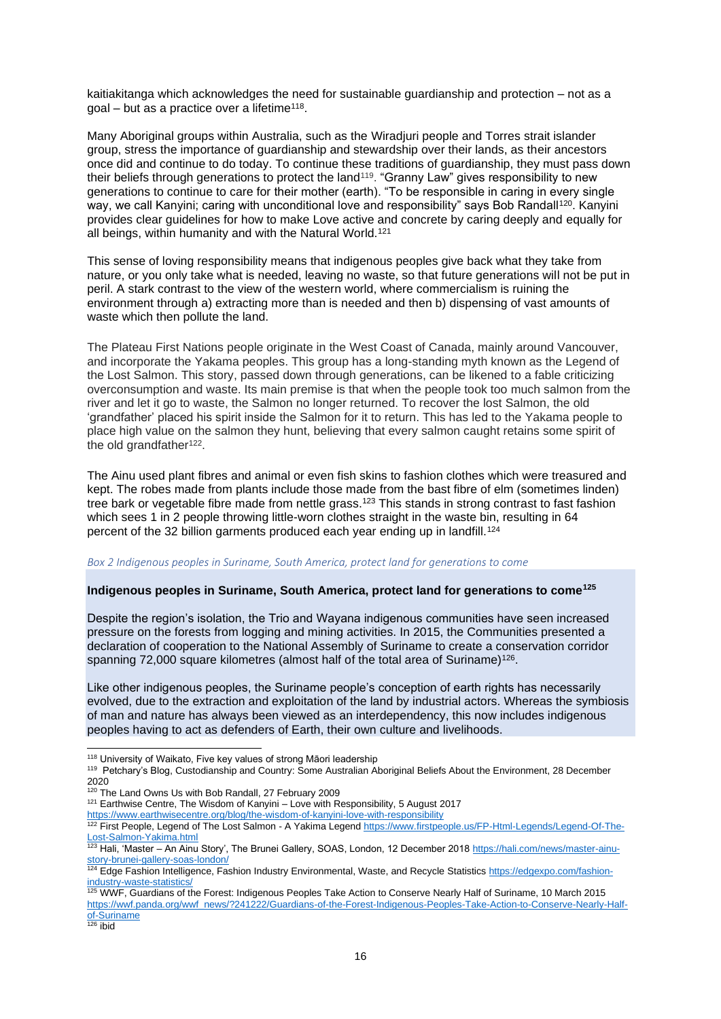kaitiakitanga which acknowledges the need for sustainable guardianship and protection – not as a  $goal - but$  as a practice over a lifetime<sup>118</sup>.

Many Aboriginal groups within Australia, such as the Wiradjuri people and Torres strait islander group, stress the importance of guardianship and stewardship over their lands, as their ancestors once did and continue to do today. To continue these traditions of guardianship, they must pass down their beliefs through generations to protect the land<sup>119</sup>. "Granny Law" gives responsibility to new generations to continue to care for their mother (earth). "To be responsible in caring in every single way, we call Kanyini; caring with unconditional love and responsibility" says Bob Randall<sup>120</sup>. Kanyini provides clear guidelines for how to make Love active and concrete by caring deeply and equally for all beings, within humanity and with the Natural World.<sup>121</sup>

This sense of loving responsibility means that indigenous peoples give back what they take from nature, or you only take what is needed, leaving no waste, so that future generations will not be put in peril. A stark contrast to the view of the western world, where commercialism is ruining the environment through a) extracting more than is needed and then b) dispensing of vast amounts of waste which then pollute the land.

The Plateau First Nations people originate in the West Coast of Canada, mainly around Vancouver, and incorporate the Yakama peoples. This group has a long-standing myth known as the Legend of the Lost Salmon. This story, passed down through generations, can be likened to a fable criticizing overconsumption and waste. Its main premise is that when the people took too much salmon from the river and let it go to waste, the Salmon no longer returned. To recover the lost Salmon, the old 'grandfather' placed his spirit inside the Salmon for it to return. This has led to the Yakama people to place high value on the salmon they hunt, believing that every salmon caught retains some spirit of the old grandfather<sup>122</sup>.

The Ainu used plant fibres and animal or even fish skins to fashion clothes which were treasured and kept. The robes made from plants include those made from the bast fibre of elm (sometimes linden) tree bark or vegetable fibre made from nettle grass.<sup>123</sup> This stands in strong contrast to fast fashion which sees 1 in 2 people throwing little-worn clothes straight in the waste bin, resulting in 64 percent of the 32 billion garments produced each year ending up in landfill.<sup>124</sup>

### *Box 2 Indigenous peoples in Suriname, South America, protect land for generations to come*

#### **Indigenous peoples in Suriname, South America, protect land for generations to come<sup>125</sup>**

Despite the region's isolation, the Trio and Wayana indigenous communities have seen increased pressure on the forests from logging and mining activities. In 2015, the Communities presented a declaration of cooperation to the National Assembly of Suriname to create a conservation corridor spanning 72,000 square kilometres (almost half of the total area of Suriname)<sup>126</sup>.

Like other indigenous peoples, the Suriname people's conception of earth rights has necessarily evolved, due to the extraction and exploitation of the land by industrial actors. Whereas the symbiosis of man and nature has always been viewed as an interdependency, this now includes indigenous peoples having to act as defenders of Earth, their own culture and livelihoods.

<sup>118</sup> University of Waikato, Five key values of strong Māori leadership

 $126$  ibid

<sup>&</sup>lt;sup>119</sup> Petchary's Blog, Custodianship and Country: Some Australian Aboriginal Beliefs About the Environment, 28 December 2020

<sup>120</sup> The Land Owns Us with Bob Randall, 27 February 2009

<sup>121</sup> Earthwise Centre, The Wisdom of Kanyini – Love with Responsibility, 5 August 2017

<https://www.earthwisecentre.org/blog/the-wisdom-of-kanyini-love-with-responsibility>

<sup>&</sup>lt;sup>122</sup> First People, Legend of The Lost Salmon - A Yakima Legen[d https://www.firstpeople.us/FP-Html-Legends/Legend-Of-The-](https://www.firstpeople.us/FP-Html-Legends/Legend-Of-The-Lost-Salmon-Yakima.html)[Lost-Salmon-Yakima.html](https://www.firstpeople.us/FP-Html-Legends/Legend-Of-The-Lost-Salmon-Yakima.html)

<sup>&</sup>lt;sup>123</sup> Hali, 'Master – An Ainu Story', The Brunei Gallery, SOAS, London, 12 December 2018 [https://hali.com/news/master-ainu](https://hali.com/news/master-ainu-story-brunei-gallery-soas-london/)[story-brunei-gallery-soas-london/](https://hali.com/news/master-ainu-story-brunei-gallery-soas-london/)

<sup>124</sup> Edge Fashion Intelligence, Fashion Industry Environmental, Waste, and Recycle Statistic[s https://edgexpo.com/fashion](https://edgexpo.com/fashion-industry-waste-statistics/)[industry-waste-statistics/](https://edgexpo.com/fashion-industry-waste-statistics/)

<sup>125</sup> WWF, Guardians of the Forest: Indigenous Peoples Take Action to Conserve Nearly Half of Suriname, 10 March 2015 [https://wwf.panda.org/wwf\\_news/?241222/Guardians-of-the-Forest-Indigenous-Peoples-Take-Action-to-Conserve-Nearly-Half](https://wwf.panda.org/wwf_news/?241222/Guardians-of-the-Forest-Indigenous-Peoples-Take-Action-to-Conserve-Nearly-Half-of-Suriname)[of-Suriname](https://wwf.panda.org/wwf_news/?241222/Guardians-of-the-Forest-Indigenous-Peoples-Take-Action-to-Conserve-Nearly-Half-of-Suriname)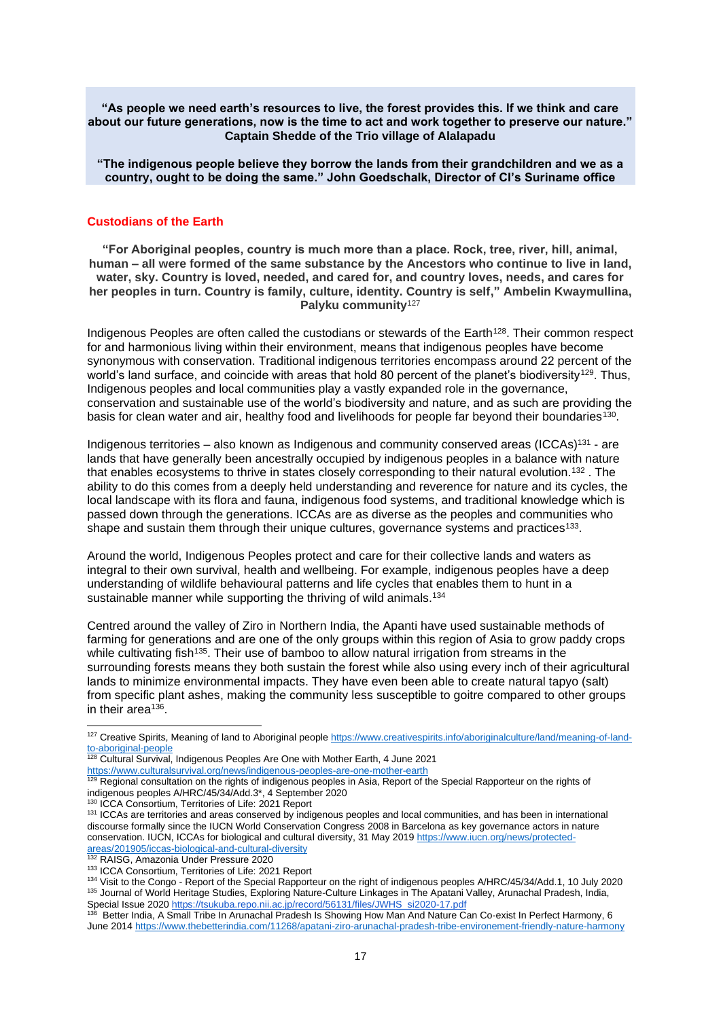**"As people we need earth's resources to live, the forest provides this. If we think and care about our future generations, now is the time to act and work together to preserve our nature." Captain Shedde of the Trio village of Alalapadu**

**"The indigenous people believe they borrow the lands from their grandchildren and we as a country, ought to be doing the same." John Goedschalk, Director of CI's Suriname office**

## <span id="page-16-0"></span>**Custodians of the Earth**

**"For Aboriginal peoples, country is much more than a place. Rock, tree, river, hill, animal, human – all were formed of the same substance by the Ancestors who continue to live in land, water, sky. Country is loved, needed, and cared for, and country loves, needs, and cares for her peoples in turn. Country is family, culture, identity. Country is self," Ambelin Kwaymullina, Palyku community**<sup>127</sup>

Indigenous Peoples are often called the custodians or stewards of the Earth<sup>128</sup>. Their common respect for and harmonious living within their environment, means that indigenous peoples have become synonymous with conservation. Traditional indigenous territories encompass around 22 percent of the world's land surface, and coincide with areas that hold 80 percent of the planet's biodiversity<sup>129</sup>. Thus, Indigenous peoples and local communities play a vastly expanded role in the governance, conservation and sustainable use of the world's biodiversity and nature, and as such are providing the basis for clean water and air, healthy food and livelihoods for people far beyond their boundaries<sup>130</sup>.

Indigenous territories – also known as Indigenous and community conserved areas (ICCAs)<sup>131</sup> - are lands that have generally been ancestrally occupied by indigenous peoples in a balance with nature that enables ecosystems to thrive in states closely corresponding to their natural evolution.<sup>132</sup> . The ability to do this comes from a deeply held understanding and reverence for nature and its cycles, the local landscape with its flora and fauna, indigenous food systems, and traditional knowledge which is passed down through the generations. ICCAs are as diverse as the peoples and communities who shape and sustain them through their unique cultures, governance systems and practices<sup>133</sup>.

Around the world, Indigenous Peoples protect and care for their collective lands and waters as integral to their own survival, health and wellbeing. For example, indigenous peoples have a deep understanding of wildlife behavioural patterns and life cycles that enables them to hunt in a sustainable manner while supporting the thriving of wild animals.<sup>134</sup>

Centred around the valley of Ziro in Northern India, the Apanti have used sustainable methods of farming for generations and are one of the only groups within this region of Asia to grow paddy crops while cultivating fish<sup>135</sup>. Their use of bamboo to allow natural irrigation from streams in the surrounding forests means they both sustain the forest while also using every inch of their agricultural lands to minimize environmental impacts. They have even been able to create natural tapyo (salt) from specific plant ashes, making the community less susceptible to goitre compared to other groups in their area<sup>136</sup>.

<sup>127</sup> Creative Spirits, Meaning of land to Aboriginal peopl[e https://www.creativespirits.info/aboriginalculture/land/meaning-of-land](https://www.creativespirits.info/aboriginalculture/land/meaning-of-land-to-aboriginal-people)[to-aboriginal-people](https://www.creativespirits.info/aboriginalculture/land/meaning-of-land-to-aboriginal-people)

<sup>128</sup> Cultural Survival, Indigenous Peoples Are One with Mother Earth, 4 June 2021 <https://www.culturalsurvival.org/news/indigenous-peoples-are-one-mother-earth>

<sup>&</sup>lt;sup>129</sup> Regional consultation on the rights of indigenous peoples in Asia, Report of the Special Rapporteur on the rights of indigenous peoples A/HRC/45/34/Add.3\*, 4 September 2020

<sup>130</sup> ICCA Consortium, Territories of Life: 2021 Report

<sup>131</sup> ICCAs are territories and areas conserved by indigenous peoples and local communities, and has been in international discourse formally since the IUCN World Conservation Congress 2008 in Barcelona as key governance actors in nature conservation. IUCN, ICCAs for biological and cultural diversity, 31 May 201[9 https://www.iucn.org/news/protected](https://www.iucn.org/news/protected-areas/201905/iccas-biological-and-cultural-diversity)[areas/201905/iccas-biological-and-cultural-diversity](https://www.iucn.org/news/protected-areas/201905/iccas-biological-and-cultural-diversity)

<sup>132</sup> RAISG, Amazonia Under Pressure 2020

<sup>133</sup> ICCA Consortium, Territories of Life: 2021 Report

<sup>134</sup> Visit to the Congo - Report of the Special Rapporteur on the right of indigenous peoples A/HRC/45/34/Add.1, 10 July 2020 135 Journal of World Heritage Studies, Exploring Nature-Culture Linkages in The Apatani Valley, Arunachal Pradesh, India, Special Issue 2020 [https://tsukuba.repo.nii.ac.jp/record/56131/files/JWHS\\_si2020-17.pdf](https://tsukuba.repo.nii.ac.jp/record/56131/files/JWHS_si2020-17.pdf)

<sup>136</sup> Better India, A Small Tribe In Arunachal Pradesh Is Showing How Man And Nature Can Co-exist In Perfect Harmony, 6 June 201[4 https://www.thebetterindia.com/11268/apatani-ziro-arunachal-pradesh-tribe-environement-friendly-nature-harmony](https://www.thebetterindia.com/11268/apatani-ziro-arunachal-pradesh-tribe-environement-friendly-nature-harmony)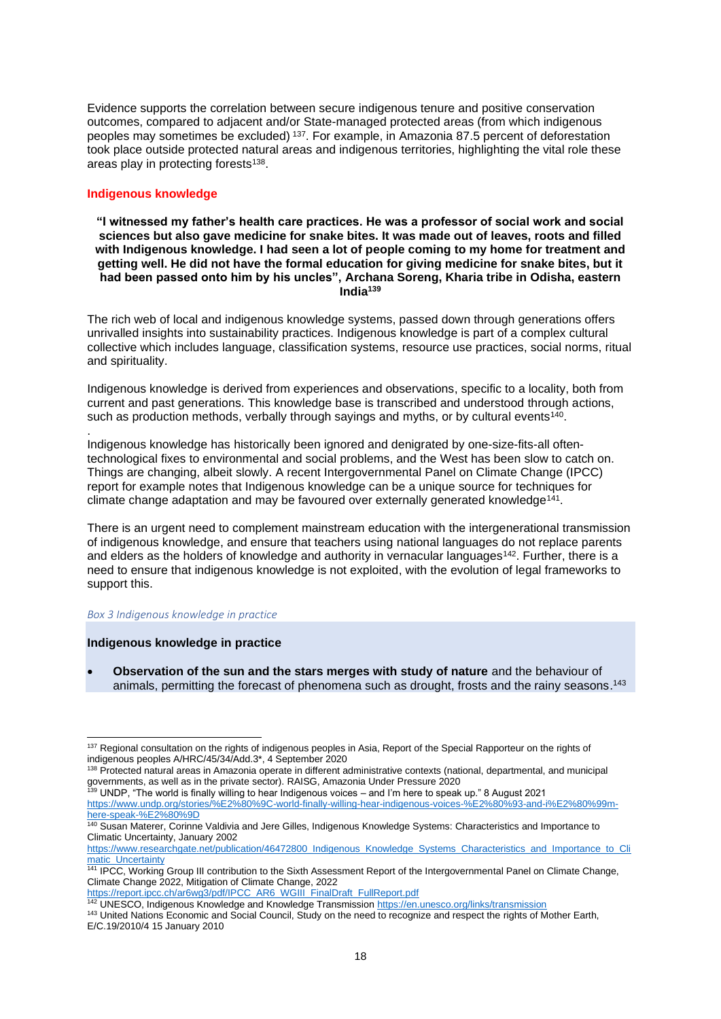Evidence supports the correlation between secure indigenous tenure and positive conservation outcomes, compared to adjacent and/or State-managed protected areas (from which indigenous peoples may sometimes be excluded) <sup>137</sup>. For example, in Amazonia 87.5 percent of deforestation took place outside protected natural areas and indigenous territories, highlighting the vital role these areas play in protecting forests<sup>138</sup>.

## <span id="page-17-0"></span>**Indigenous knowledge**

.

**"I witnessed my father's health care practices. He was a professor of social work and social sciences but also gave medicine for snake bites. It was made out of leaves, roots and filled with Indigenous knowledge. I had seen a lot of people coming to my home for treatment and getting well. He did not have the formal education for giving medicine for snake bites, but it had been passed onto him by his uncles", Archana Soreng, Kharia tribe in Odisha, eastern India<sup>139</sup>**

The rich web of local and indigenous knowledge systems, passed down through generations offers unrivalled insights into sustainability practices. Indigenous knowledge is part of a complex cultural collective which includes language, classification systems, resource use practices, social norms, ritual and spirituality.

Indigenous knowledge is derived from experiences and observations, specific to a locality, both from current and past generations. This knowledge base is transcribed and understood through actions, such as production methods, verbally through sayings and myths, or by cultural events<sup>140</sup>.

Indigenous knowledge has historically been ignored and denigrated by one-size-fits-all oftentechnological fixes to environmental and social problems, and the West has been slow to catch on. Things are changing, albeit slowly. A recent Intergovernmental Panel on Climate Change (IPCC) report for example notes that Indigenous knowledge can be a unique source for techniques for climate change adaptation and may be favoured over externally generated knowledge<sup>141</sup>.

There is an urgent need to complement mainstream education with the intergenerational transmission of indigenous knowledge, and ensure that teachers using national languages do not replace parents and elders as the holders of knowledge and authority in vernacular languages<sup>142</sup>. Further, there is a need to ensure that indigenous knowledge is not exploited, with the evolution of legal frameworks to support this.

#### *Box 3 Indigenous knowledge in practice*

### **Indigenous knowledge in practice**

• **Observation of the sun and the stars merges with study of nature** and the behaviour of animals, permitting the forecast of phenomena such as drought, frosts and the rainy seasons.<sup>143</sup>

[https://report.ipcc.ch/ar6wg3/pdf/IPCC\\_AR6\\_WGIII\\_FinalDraft\\_FullReport.pdf](https://report.ipcc.ch/ar6wg3/pdf/IPCC_AR6_WGIII_FinalDraft_FullReport.pdf)

<sup>&</sup>lt;sup>137</sup> Regional consultation on the rights of indigenous peoples in Asia. Report of the Special Rapporteur on the rights of indigenous peoples A/HRC/45/34/Add.3\*, 4 September 2020

<sup>&</sup>lt;sup>138</sup> Protected natural areas in Amazonia operate in different administrative contexts (national, departmental, and municipal governments, as well as in the private sector). RAISG, Amazonia Under Pressure 2020

<sup>139</sup> UNDP, "The world is finally willing to hear Indigenous voices – and I'm here to speak up." 8 August 2021 [https://www.undp.org/stories/%E2%80%9C-world-finally-willing-hear-indigenous-voices-%E2%80%93-and-i%E2%80%99m](https://www.undp.org/stories/%E2%80%9C-world-finally-willing-hear-indigenous-voices-%E2%80%93-and-i%E2%80%99m-here-speak-%E2%80%9D)[here-speak-%E2%80%9D](https://www.undp.org/stories/%E2%80%9C-world-finally-willing-hear-indigenous-voices-%E2%80%93-and-i%E2%80%99m-here-speak-%E2%80%9D)

<sup>140</sup> Susan Materer, Corinne Valdivia and Jere Gilles, Indigenous Knowledge Systems: Characteristics and Importance to Climatic Uncertainty, January 2002

[https://www.researchgate.net/publication/46472800\\_Indigenous\\_Knowledge\\_Systems\\_Characteristics\\_and\\_Importance\\_to\\_Cli](https://www.researchgate.net/publication/46472800_Indigenous_Knowledge_Systems_Characteristics_and_Importance_to_Climatic_Uncertainty) matic\_Uncertainty

<sup>141</sup> IPCC, Working Group III contribution to the Sixth Assessment Report of the Intergovernmental Panel on Climate Change, Climate Change 2022, Mitigation of Climate Change, 2022

<sup>&</sup>lt;sup>142</sup> UNESCO, Indigenous Knowledge and Knowledge Transmissio[n https://en.unesco.org/links/transmission](https://en.unesco.org/links/transmission) <sup>143</sup> United Nations Economic and Social Council, Study on the need to recognize and respect the rights of Mother Earth, E/C.19/2010/4 15 January 2010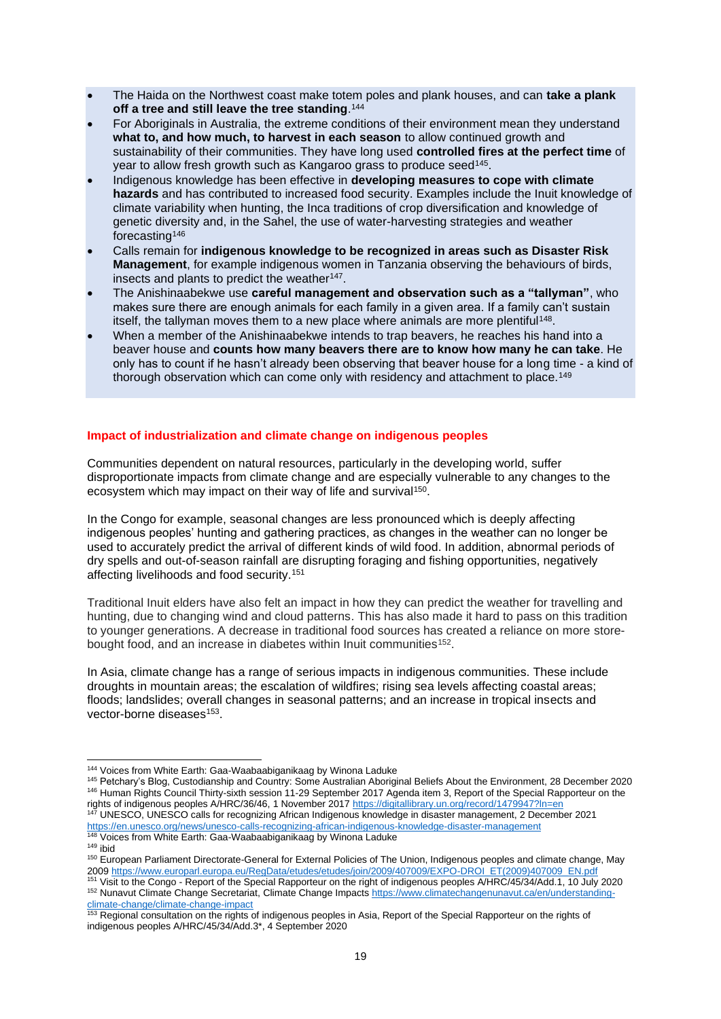- The Haida on the Northwest coast make totem poles and plank houses, and can **take a plank off a tree and still leave the tree standing**. 144
- For Aboriginals in Australia, the extreme conditions of their environment mean they understand **what to, and how much, to harvest in each season** to allow continued growth and sustainability of their communities. They have long used **controlled fires at the perfect time** of year to allow fresh growth such as Kangaroo grass to produce seed<sup>145</sup>.
- Indigenous knowledge has been effective in **developing measures to cope with climate hazards** and has contributed to increased food security. Examples include the Inuit knowledge of climate variability when hunting, the Inca traditions of crop diversification and knowledge of genetic diversity and, in the Sahel, the use of water-harvesting strategies and weather forecasting<sup>146</sup>
- Calls remain for **indigenous knowledge to be recognized in areas such as Disaster Risk Management**, for example indigenous women in Tanzania observing the behaviours of birds, insects and plants to predict the weather<sup>147</sup>.
- The Anishinaabekwe use **careful management and observation such as a "tallyman"**, who makes sure there are enough animals for each family in a given area. If a family can't sustain itself, the tallyman moves them to a new place where animals are more plentiful<sup>148</sup>.
- When a member of the Anishinaabekwe intends to trap beavers, he reaches his hand into a beaver house and **counts how many beavers there are to know how many he can take**. He only has to count if he hasn't already been observing that beaver house for a long time - a kind of thorough observation which can come only with residency and attachment to place.<sup>149</sup>

## <span id="page-18-0"></span>**Impact of industrialization and climate change on indigenous peoples**

Communities dependent on natural resources, particularly in the developing world, suffer disproportionate impacts from climate change and are especially vulnerable to any changes to the ecosystem which may impact on their way of life and survival<sup>150</sup>.

In the Congo for example, seasonal changes are less pronounced which is deeply affecting indigenous peoples' hunting and gathering practices, as changes in the weather can no longer be used to accurately predict the arrival of different kinds of wild food. In addition, abnormal periods of dry spells and out-of-season rainfall are disrupting foraging and fishing opportunities, negatively affecting livelihoods and food security.<sup>151</sup>

Traditional Inuit elders have also felt an impact in how they can predict the weather for travelling and hunting, due to changing wind and cloud patterns. This has also made it hard to pass on this tradition to younger generations. A decrease in traditional food sources has created a reliance on more storebought food, and an increase in diabetes within Inuit communities<sup>152</sup>.

In Asia, climate change has a range of serious impacts in indigenous communities. These include droughts in mountain areas; the escalation of wildfires; rising sea levels affecting coastal areas; floods; landslides; overall changes in seasonal patterns; and an increase in tropical insects and vector-borne diseases<sup>153</sup>.

<sup>144</sup> Voices from White Earth: Gaa-Waabaabiganikaag by Winona Laduke

<sup>145</sup> Petchary's Blog, Custodianship and Country: Some Australian Aboriginal Beliefs About the Environment, 28 December 2020 <sup>146</sup> Human Rights Council Thirty-sixth session 11-29 September 2017 Agenda item 3, Report of the Special Rapporteur on the rights of indigenous peoples A/HRC/36/46, 1 November 2017<https://digitallibrary.un.org/record/1479947?ln=en> <sup>147</sup> UNESCO, UNESCO calls for recognizing African Indigenous knowledge in disaster management, 2 December 2021

<https://en.unesco.org/news/unesco-calls-recognizing-african-indigenous-knowledge-disaster-management> <sup>148</sup> Voices from White Earth: Gaa-Waabaabiganikaag by Winona Laduke

<sup>149</sup> ibid

<sup>150</sup> European Parliament Directorate-General for External Policies of The Union, Indigenous peoples and climate change, May 2009 [https://www.europarl.europa.eu/RegData/etudes/etudes/join/2009/407009/EXPO-DROI\\_ET\(2009\)407009\\_EN.pdf](https://www.europarl.europa.eu/RegData/etudes/etudes/join/2009/407009/EXPO-DROI_ET(2009)407009_EN.pdf) <sup>151</sup> Visit to the Congo - Report of the Special Rapporteur on the right of indigenous peoples A/HRC/45/34/Add.1, 10 July 2020 152 Nunavut Climate Change Secretariat, Climate Change Impacts [https://www.climatechangenunavut.ca/en/understanding](https://www.climatechangenunavut.ca/en/understanding-climate-change/climate-change-impact)[climate-change/climate-change-impact](https://www.climatechangenunavut.ca/en/understanding-climate-change/climate-change-impact)

<sup>&</sup>lt;sup>153</sup> Regional consultation on the rights of indigenous peoples in Asia, Report of the Special Rapporteur on the rights of indigenous peoples A/HRC/45/34/Add.3\*, 4 September 2020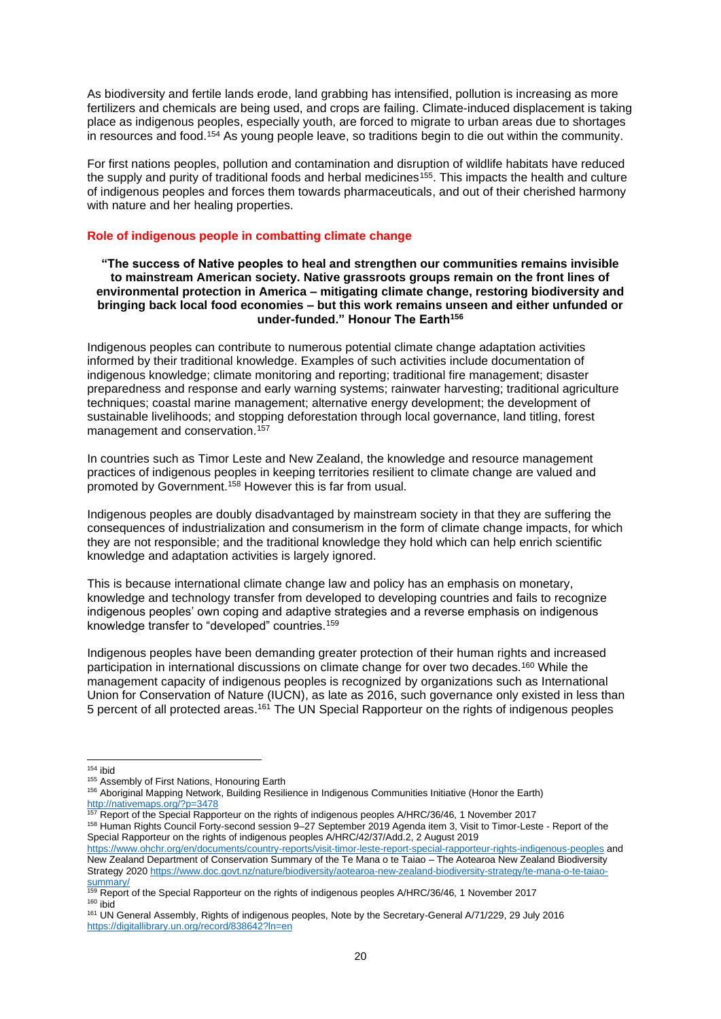As biodiversity and fertile lands erode, land grabbing has intensified, pollution is increasing as more fertilizers and chemicals are being used, and crops are failing. Climate-induced displacement is taking place as indigenous peoples, especially youth, are forced to migrate to urban areas due to shortages in resources and food.<sup>154</sup> As young people leave, so traditions begin to die out within the community.

For first nations peoples, pollution and contamination and disruption of wildlife habitats have reduced the supply and purity of traditional foods and herbal medicines<sup>155</sup>. This impacts the health and culture of indigenous peoples and forces them towards pharmaceuticals, and out of their cherished harmony with nature and her healing properties.

### <span id="page-19-0"></span>**Role of indigenous people in combatting climate change**

### **"The success of Native peoples to heal and strengthen our communities remains invisible to mainstream American society. Native grassroots groups remain on the front lines of environmental protection in America – mitigating climate change, restoring biodiversity and bringing back local food economies – but this work remains unseen and either unfunded or under-funded." Honour The Earth<sup>156</sup>**

Indigenous peoples can contribute to numerous potential climate change adaptation activities informed by their traditional knowledge. Examples of such activities include documentation of indigenous knowledge; climate monitoring and reporting; traditional fire management; disaster preparedness and response and early warning systems; rainwater harvesting; traditional agriculture techniques; coastal marine management; alternative energy development; the development of sustainable livelihoods; and stopping deforestation through local governance, land titling, forest management and conservation.<sup>157</sup>

In countries such as Timor Leste and New Zealand, the knowledge and resource management practices of indigenous peoples in keeping territories resilient to climate change are valued and promoted by Government.<sup>158</sup> However this is far from usual.

Indigenous peoples are doubly disadvantaged by mainstream society in that they are suffering the consequences of industrialization and consumerism in the form of climate change impacts, for which they are not responsible; and the traditional knowledge they hold which can help enrich scientific knowledge and adaptation activities is largely ignored.

This is because international climate change law and policy has an emphasis on monetary, knowledge and technology transfer from developed to developing countries and fails to recognize indigenous peoples' own coping and adaptive strategies and a reverse emphasis on indigenous knowledge transfer to "developed" countries.<sup>159</sup>

Indigenous peoples have been demanding greater protection of their human rights and increased participation in international discussions on climate change for over two decades.<sup>160</sup> While the management capacity of indigenous peoples is recognized by organizations such as International Union for Conservation of Nature (IUCN), as late as 2016, such governance only existed in less than 5 percent of all protected areas.<sup>161</sup> The UN Special Rapporteur on the rights of indigenous peoples

 $154$  ibid

<sup>&</sup>lt;sup>155</sup> Assembly of First Nations, Honouring Earth

<sup>156</sup> Aboriginal Mapping Network, Building Resilience in Indigenous Communities Initiative (Honor the Earth) <http://nativemaps.org/?p=3478>

<sup>157</sup> Report of the Special Rapporteur on the rights of indigenous peoples A/HRC/36/46, 1 November 2017 <sup>158</sup> Human Rights Council Forty-second session 9–27 September 2019 Agenda item 3, Visit to Timor-Leste - Report of the Special Rapporteur on the rights of indigenous peoples A/HRC/42/37/Add.2, 2 August 2019

<https://www.ohchr.org/en/documents/country-reports/visit-timor-leste-report-special-rapporteur-rights-indigenous-peoples> and New Zealand Department of Conservation Summary of the Te Mana o te Taiao – The Aotearoa New Zealand Biodiversity Strategy 2020 [https://www.doc.govt.nz/nature/biodiversity/aotearoa-new-zealand-biodiversity-strategy/te-mana-o-te-taiao](https://www.doc.govt.nz/nature/biodiversity/aotearoa-new-zealand-biodiversity-strategy/te-mana-o-te-taiao-summary/)[summary/](https://www.doc.govt.nz/nature/biodiversity/aotearoa-new-zealand-biodiversity-strategy/te-mana-o-te-taiao-summary/)

<sup>159</sup> Report of the Special Rapporteur on the rights of indigenous peoples A/HRC/36/46, 1 November 2017  $160$  ibid

<sup>161</sup> UN General Assembly, Rights of indigenous peoples, Note by the Secretary-General A/71/229, 29 July 2016 <https://digitallibrary.un.org/record/838642?ln=en>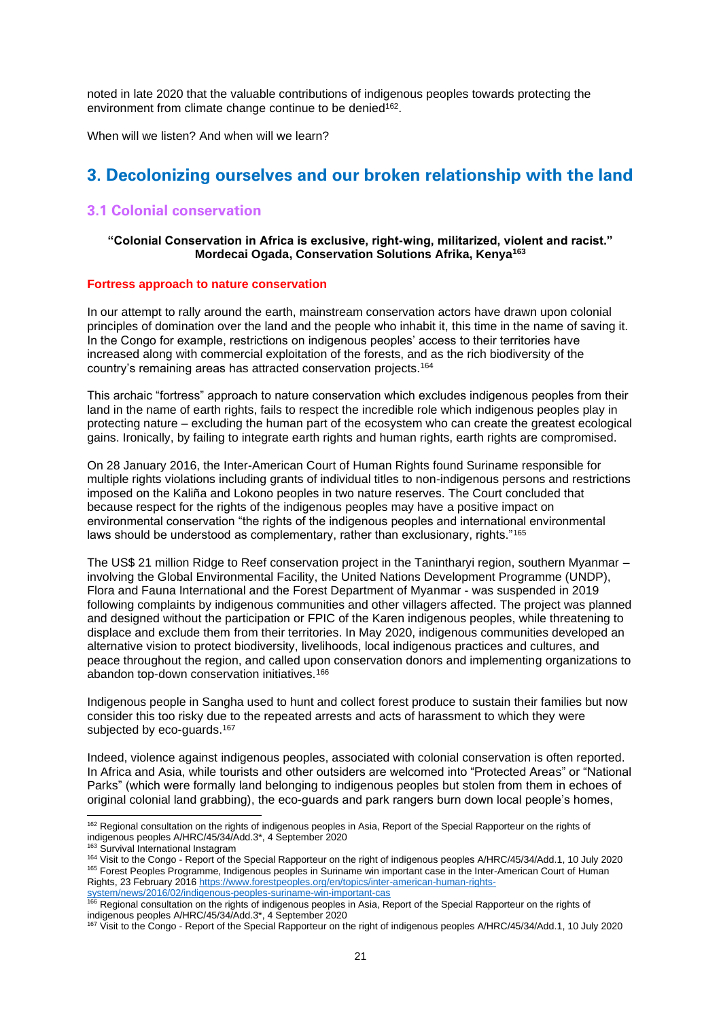noted in late 2020 that the valuable contributions of indigenous peoples towards protecting the environment from climate change continue to be denied<sup>162</sup>.

When will we listen? And when will we learn?

# <span id="page-20-0"></span>**3. Decolonizing ourselves and our broken relationship with the land**

## <span id="page-20-1"></span>**3.1 Colonial conservation**

### **"Colonial Conservation in Africa is exclusive, right-wing, militarized, violent and racist." Mordecai Ogada, Conservation Solutions Afrika, Kenya<sup>163</sup>**

#### <span id="page-20-2"></span>**Fortress approach to nature conservation**

In our attempt to rally around the earth, mainstream conservation actors have drawn upon colonial principles of domination over the land and the people who inhabit it, this time in the name of saving it. In the Congo for example, restrictions on indigenous peoples' access to their territories have increased along with commercial exploitation of the forests, and as the rich biodiversity of the country's remaining areas has attracted conservation projects.<sup>164</sup>

This archaic "fortress" approach to nature conservation which excludes indigenous peoples from their land in the name of earth rights, fails to respect the incredible role which indigenous peoples play in protecting nature – excluding the human part of the ecosystem who can create the greatest ecological gains. Ironically, by failing to integrate earth rights and human rights, earth rights are compromised.

On 28 January 2016, the Inter-American Court of Human Rights found Suriname responsible for multiple rights violations including grants of individual titles to non-indigenous persons and restrictions imposed on the Kaliña and Lokono peoples in two nature reserves. The Court concluded that because respect for the rights of the indigenous peoples may have a positive impact on environmental conservation "the rights of the indigenous peoples and international environmental laws should be understood as complementary, rather than exclusionary, rights."<sup>165</sup>

The US\$ 21 million Ridge to Reef conservation project in the Tanintharyi region, southern Myanmar – involving the Global Environmental Facility, the United Nations Development Programme (UNDP), Flora and Fauna International and the Forest Department of Myanmar - was suspended in 2019 following complaints by indigenous communities and other villagers affected. The project was planned and designed without the participation or FPIC of the Karen indigenous peoples, while threatening to displace and exclude them from their territories. In May 2020, indigenous communities developed an alternative vision to protect biodiversity, livelihoods, local indigenous practices and cultures, and peace throughout the region, and called upon conservation donors and implementing organizations to abandon top-down conservation initiatives.<sup>166</sup>

Indigenous people in Sangha used to hunt and collect forest produce to sustain their families but now consider this too risky due to the repeated arrests and acts of harassment to which they were subjected by eco-guards.<sup>167</sup>

Indeed, violence against indigenous peoples, associated with colonial conservation is often reported. In Africa and Asia, while tourists and other outsiders are welcomed into "Protected Areas" or "National Parks" (which were formally land belonging to indigenous peoples but stolen from them in echoes of original colonial land grabbing), the eco-guards and park rangers burn down local people's homes,

<sup>&</sup>lt;sup>162</sup> Regional consultation on the rights of indigenous peoples in Asia. Report of the Special Rapporteur on the rights of indigenous peoples A/HRC/45/34/Add.3\*, 4 September 2020

<sup>&</sup>lt;sup>163</sup> Survival International Instagram

<sup>164</sup> Visit to the Congo - Report of the Special Rapporteur on the right of indigenous peoples A/HRC/45/34/Add.1, 10 July 2020 <sup>165</sup> Forest Peoples Programme, Indigenous peoples in Suriname win important case in the Inter-American Court of Human Rights, 23 February 201[6 https://www.forestpeoples.org/en/topics/inter-american-human-rights](https://www.forestpeoples.org/en/topics/inter-american-human-rights-system/news/2016/02/indigenous-peoples-suriname-win-important-cas)[system/news/2016/02/indigenous-peoples-suriname-win-important-cas](https://www.forestpeoples.org/en/topics/inter-american-human-rights-system/news/2016/02/indigenous-peoples-suriname-win-important-cas)e<br><sup>166</sup> Pocional case://tail.jp/noise-peoples-suriname-win-important-cas

Regional consultation on the rights of indigenous peoples in Asia. Report of the Special Rapporteur on the rights of indigenous peoples A/HRC/45/34/Add.3\*, 4 September 2020

<sup>167</sup> Visit to the Congo - Report of the Special Rapporteur on the right of indigenous peoples A/HRC/45/34/Add.1, 10 July 2020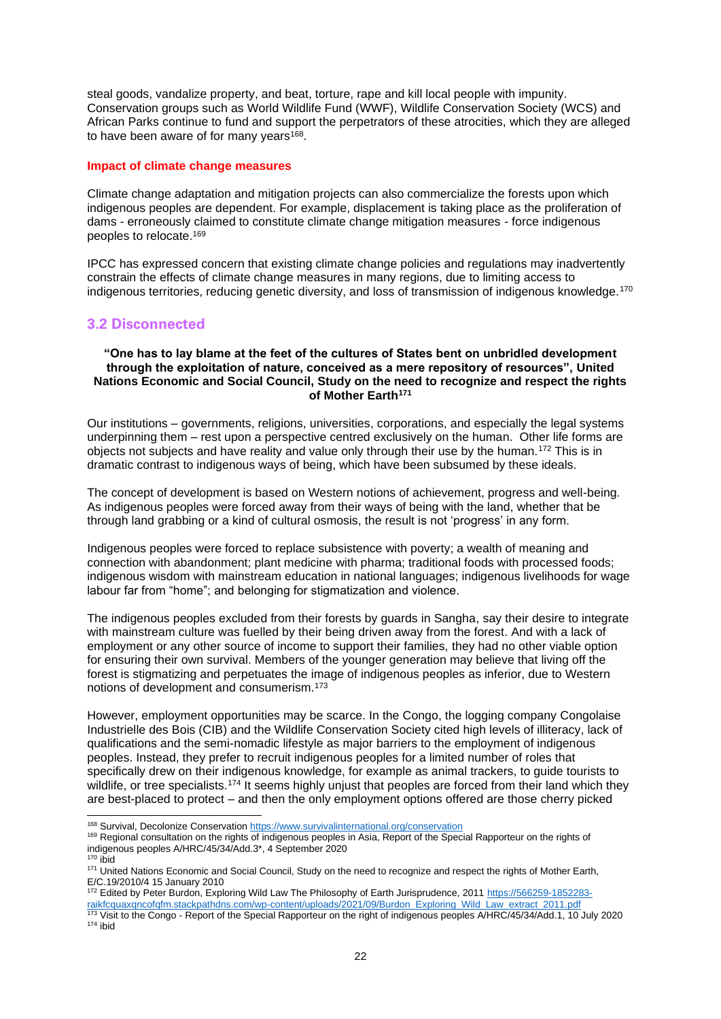steal goods, vandalize property, and beat, torture, rape and kill local people with impunity. Conservation groups such as World Wildlife Fund (WWF), Wildlife Conservation Society (WCS) and African Parks continue to fund and support the perpetrators of these atrocities, which they are alleged to have been aware of for many years<sup>168</sup>.

#### <span id="page-21-0"></span>**Impact of climate change measures**

Climate change adaptation and mitigation projects can also commercialize the forests upon which indigenous peoples are dependent. For example, displacement is taking place as the proliferation of dams - erroneously claimed to constitute climate change mitigation measures - force indigenous peoples to relocate.<sup>169</sup>

IPCC has expressed concern that existing climate change policies and regulations may inadvertently constrain the effects of climate change measures in many regions, due to limiting access to indigenous territories, reducing genetic diversity, and loss of transmission of indigenous knowledge.<sup>170</sup>

## <span id="page-21-1"></span>**3.2 Disconnected**

#### **"One has to lay blame at the feet of the cultures of States bent on unbridled development through the exploitation of nature, conceived as a mere repository of resources", United Nations Economic and Social Council, Study on the need to recognize and respect the rights of Mother Earth<sup>171</sup>**

Our institutions – governments, religions, universities, corporations, and especially the legal systems underpinning them – rest upon a perspective centred exclusively on the human. Other life forms are objects not subjects and have reality and value only through their use by the human.<sup>172</sup> This is in dramatic contrast to indigenous ways of being, which have been subsumed by these ideals.

The concept of development is based on Western notions of achievement, progress and well-being. As indigenous peoples were forced away from their ways of being with the land, whether that be through land grabbing or a kind of cultural osmosis, the result is not 'progress' in any form.

Indigenous peoples were forced to replace subsistence with poverty; a wealth of meaning and connection with abandonment; plant medicine with pharma; traditional foods with processed foods; indigenous wisdom with mainstream education in national languages; indigenous livelihoods for wage labour far from "home"; and belonging for stigmatization and violence.

The indigenous peoples excluded from their forests by guards in Sangha, say their desire to integrate with mainstream culture was fuelled by their being driven away from the forest. And with a lack of employment or any other source of income to support their families, they had no other viable option for ensuring their own survival. Members of the younger generation may believe that living off the forest is stigmatizing and perpetuates the image of indigenous peoples as inferior, due to Western notions of development and consumerism.<sup>173</sup>

However, employment opportunities may be scarce. In the Congo, the logging company Congolaise Industrielle des Bois (CIB) and the Wildlife Conservation Society cited high levels of illiteracy, lack of qualifications and the semi-nomadic lifestyle as major barriers to the employment of indigenous peoples. Instead, they prefer to recruit indigenous peoples for a limited number of roles that specifically drew on their indigenous knowledge, for example as animal trackers, to guide tourists to wildlife, or tree specialists.<sup>174</sup> It seems highly unjust that peoples are forced from their land which they are best-placed to protect – and then the only employment options offered are those cherry picked

 $170$  ibid

172 Edited by Peter Burdon, Exploring Wild Law The Philosophy of Earth Jurisprudence, 2011 [https://566259-1852283](https://566259-1852283-raikfcquaxqncofqfm.stackpathdns.com/wp-content/uploads/2021/09/Burdon_Exploring_Wild_Law_extract_2011.pdf) [raikfcquaxqncofqfm.stackpathdns.com/wp-content/uploads/2021/09/Burdon\\_Exploring\\_Wild\\_Law\\_extract\\_2011.pdf](https://566259-1852283-raikfcquaxqncofqfm.stackpathdns.com/wp-content/uploads/2021/09/Burdon_Exploring_Wild_Law_extract_2011.pdf)

<sup>168</sup> Survival, Decolonize Conservatio[n https://www.survivalinternational.org/conservation](https://www.survivalinternational.org/conservation)

<sup>169</sup> Regional consultation on the rights of indigenous peoples in Asia, Report of the Special Rapporteur on the rights of indigenous peoples A/HRC/45/34/Add.3\*, 4 September 2020

<sup>171</sup> United Nations Economic and Social Council, Study on the need to recognize and respect the rights of Mother Earth, E/C.19/2010/4 15 January 2010

<sup>173</sup> Visit to the Congo - Report of the Special Rapporteur on the right of indigenous peoples A/HRC/45/34/Add.1, 10 July 2020  $174$  ibid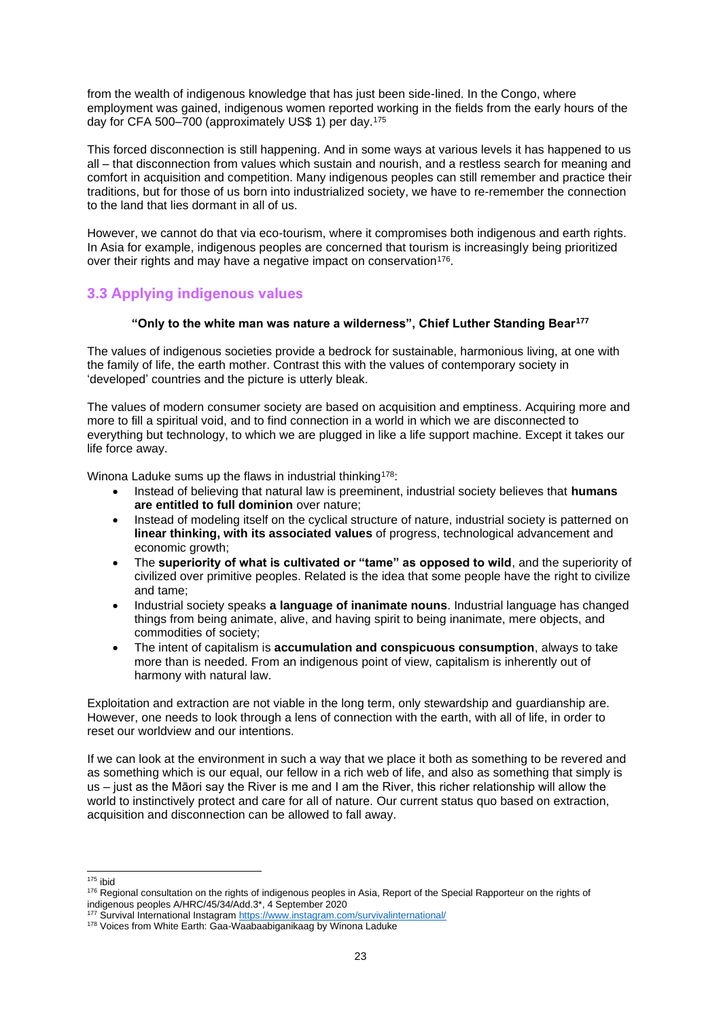from the wealth of indigenous knowledge that has just been side-lined. In the Congo, where employment was gained, indigenous women reported working in the fields from the early hours of the day for CFA 500–700 (approximately US\$ 1) per day.<sup>175</sup>

This forced disconnection is still happening. And in some ways at various levels it has happened to us all – that disconnection from values which sustain and nourish, and a restless search for meaning and comfort in acquisition and competition. Many indigenous peoples can still remember and practice their traditions, but for those of us born into industrialized society, we have to re-remember the connection to the land that lies dormant in all of us.

However, we cannot do that via eco-tourism, where it compromises both indigenous and earth rights. In Asia for example, indigenous peoples are concerned that tourism is increasingly being prioritized over their rights and may have a negative impact on conservation<sup>176</sup>.

# <span id="page-22-0"></span>**3.3 Applying indigenous values**

## **"Only to the white man was nature a wilderness", Chief Luther Standing Bear<sup>177</sup>**

The values of indigenous societies provide a bedrock for sustainable, harmonious living, at one with the family of life, the earth mother. Contrast this with the values of contemporary society in 'developed' countries and the picture is utterly bleak.

The values of modern consumer society are based on acquisition and emptiness. Acquiring more and more to fill a spiritual void, and to find connection in a world in which we are disconnected to everything but technology, to which we are plugged in like a life support machine. Except it takes our life force away.

Winona Laduke sums up the flaws in industrial thinking<sup>178</sup>:

- Instead of believing that natural law is preeminent, industrial society believes that **humans are entitled to full dominion** over nature;
- Instead of modeling itself on the cyclical structure of nature, industrial society is patterned on **linear thinking, with its associated values** of progress, technological advancement and economic growth:
- The **superiority of what is cultivated or "tame" as opposed to wild**, and the superiority of civilized over primitive peoples. Related is the idea that some people have the right to civilize and tame;
- Industrial society speaks **a language of inanimate nouns**. Industrial language has changed things from being animate, alive, and having spirit to being inanimate, mere objects, and commodities of society;
- The intent of capitalism is **accumulation and conspicuous consumption**, always to take more than is needed. From an indigenous point of view, capitalism is inherently out of harmony with natural law.

Exploitation and extraction are not viable in the long term, only stewardship and guardianship are. However, one needs to look through a lens of connection with the earth, with all of life, in order to reset our worldview and our intentions.

If we can look at the environment in such a way that we place it both as something to be revered and as something which is our equal, our fellow in a rich web of life, and also as something that simply is us – just as the Māori say the River is me and I am the River, this richer relationship will allow the world to instinctively protect and care for all of nature. Our current status quo based on extraction, acquisition and disconnection can be allowed to fall away.

 $175$  ibid

<sup>176</sup> Regional consultation on the rights of indigenous peoples in Asia, Report of the Special Rapporteur on the rights of indigenous peoples A/HRC/45/34/Add.3\*, 4 September 2020

<sup>177</sup> Survival International Instagra[m https://www.instagram.com/survivalinternational/](https://www.instagram.com/survivalinternational/)

<sup>178</sup> Voices from White Earth: Gaa-Waabaabiganikaag by Winona Laduke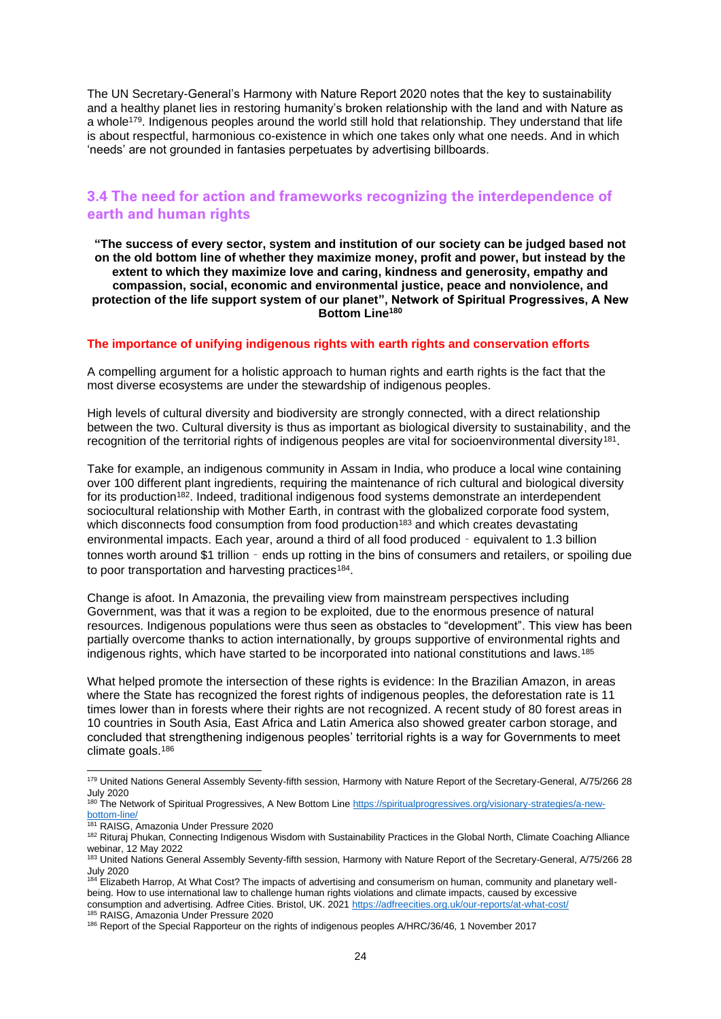The UN Secretary-General's Harmony with Nature Report 2020 notes that the key to sustainability and a healthy planet lies in restoring humanity's broken relationship with the land and with Nature as a whole<sup>179</sup>. Indigenous peoples around the world still hold that relationship. They understand that life is about respectful, harmonious co-existence in which one takes only what one needs. And in which 'needs' are not grounded in fantasies perpetuates by advertising billboards.

## <span id="page-23-0"></span>**3.4 The need for action and frameworks recognizing the interdependence of earth and human rights**

**"The success of every sector, system and institution of our society can be judged based not on the old bottom line of whether they maximize money, profit and power, but instead by the extent to which they maximize love and caring, kindness and generosity, empathy and compassion, social, economic and environmental justice, peace and nonviolence, and protection of the life support system of our planet", Network of Spiritual Progressives, A New Bottom Line<sup>180</sup>**

#### <span id="page-23-1"></span>**The importance of unifying indigenous rights with earth rights and conservation efforts**

A compelling argument for a holistic approach to human rights and earth rights is the fact that the most diverse ecosystems are under the stewardship of indigenous peoples.

High levels of cultural diversity and biodiversity are strongly connected, with a direct relationship between the two. Cultural diversity is thus as important as biological diversity to sustainability, and the recognition of the territorial rights of indigenous peoples are vital for socioenvironmental diversity<sup>181</sup>.

Take for example, an indigenous community in Assam in India, who produce a local wine containing over 100 different plant ingredients, requiring the maintenance of rich cultural and biological diversity for its production<sup>182</sup>. Indeed, traditional indigenous food systems demonstrate an interdependent sociocultural relationship with Mother Earth, in contrast with the globalized corporate food system, which disconnects food consumption from food production<sup>183</sup> and which creates devastating environmental impacts. Each year, around a third of all food produced – equivalent to 1.3 billion tonnes worth around \$1 trillion – ends up rotting in the bins of consumers and retailers, or spoiling due to poor transportation and harvesting practices<sup>184</sup>.

Change is afoot. In Amazonia, the prevailing view from mainstream perspectives including Government, was that it was a region to be exploited, due to the enormous presence of natural resources. Indigenous populations were thus seen as obstacles to "development". This view has been partially overcome thanks to action internationally, by groups supportive of environmental rights and indigenous rights, which have started to be incorporated into national constitutions and laws.<sup>185</sup>

What helped promote the intersection of these rights is evidence: In the Brazilian Amazon, in areas where the State has recognized the forest rights of indigenous peoples, the deforestation rate is 11 times lower than in forests where their rights are not recognized. A recent study of 80 forest areas in 10 countries in South Asia, East Africa and Latin America also showed greater carbon storage, and concluded that strengthening indigenous peoples' territorial rights is a way for Governments to meet climate goals.<sup>186</sup>

<sup>179</sup> United Nations General Assembly Seventy-fifth session, Harmony with Nature Report of the Secretary-General, A/75/266 28 July 2020

<sup>&</sup>lt;sup>180</sup> The Network of Spiritual Progressives, A New Bottom Lin[e https://spiritualprogressives.org/visionary-strategies/a-new](https://spiritualprogressives.org/visionary-strategies/a-new-bottom-line/)[bottom-line/](https://spiritualprogressives.org/visionary-strategies/a-new-bottom-line/)

<sup>181</sup> RAISG, Amazonia Under Pressure 2020

<sup>182</sup> Rituraj Phukan, Connecting Indigenous Wisdom with Sustainability Practices in the Global North, Climate Coaching Alliance webinar, 12 May 2022

<sup>&</sup>lt;sup>183</sup> United Nations General Assembly Seventy-fifth session, Harmony with Nature Report of the Secretary-General, A/75/266 28 July 2020

<sup>&</sup>lt;sup>184</sup> Elizabeth Harrop, At What Cost? The impacts of advertising and consumerism on human, community and planetary wellbeing. How to use international law to challenge human rights violations and climate impacts, caused by excessive consumption and advertising. Adfree Cities. Bristol, UK. 2021<https://adfreecities.org.uk/our-reports/at-what-cost/> <sup>185</sup> RAISG, Amazonia Under Pressure 2020

<sup>186</sup> Report of the Special Rapporteur on the rights of indigenous peoples A/HRC/36/46, 1 November 2017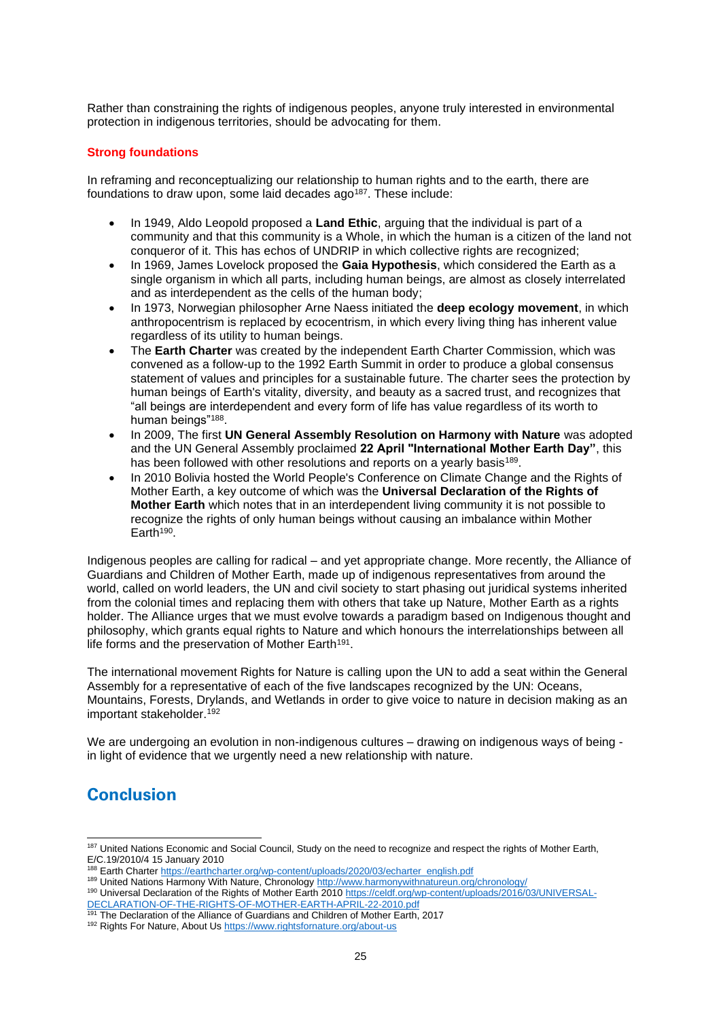Rather than constraining the rights of indigenous peoples, anyone truly interested in environmental protection in indigenous territories, should be advocating for them.

## <span id="page-24-0"></span>**Strong foundations**

In reframing and reconceptualizing our relationship to human rights and to the earth, there are foundations to draw upon, some laid decades ago<sup>187</sup>. These include:

- In 1949, Aldo Leopold proposed a **Land Ethic**, arguing that the individual is part of a community and that this community is a Whole, in which the human is a citizen of the land not conqueror of it. This has echos of UNDRIP in which collective rights are recognized;
- In 1969, James Lovelock proposed the **Gaia Hypothesis**, which considered the Earth as a single organism in which all parts, including human beings, are almost as closely interrelated and as interdependent as the cells of the human body;
- In 1973, Norwegian philosopher Arne Naess initiated the **deep ecology movement**, in which anthropocentrism is replaced by ecocentrism, in which every living thing has inherent value regardless of its utility to human beings.
- The **Earth Charter** was created by the independent Earth Charter Commission, which was convened as a follow-up to the 1992 Earth Summit in order to produce a global consensus statement of values and principles for a sustainable future. The charter sees the protection by human beings of Earth's vitality, diversity, and beauty as a sacred trust, and recognizes that "all beings are interdependent and every form of life has value regardless of its worth to human beings"<sup>188</sup>.
- In 2009, The first **UN General Assembly Resolution on Harmony with Nature** was adopted and the UN General Assembly proclaimed **22 April "International Mother Earth Day"**, this has been followed with other resolutions and reports on a yearly basis<sup>189</sup>.
- In 2010 Bolivia hosted the World People's Conference on Climate Change and the Rights of Mother Earth, a key outcome of which was the **Universal Declaration of the Rights of Mother Earth** which notes that in an interdependent living community it is not possible to recognize the rights of only human beings without causing an imbalance within Mother Earth<sup>190</sup>.

Indigenous peoples are calling for radical – and yet appropriate change. More recently, the Alliance of Guardians and Children of Mother Earth, made up of indigenous representatives from around the world, called on world leaders, the UN and civil society to start phasing out juridical systems inherited from the colonial times and replacing them with others that take up Nature, Mother Earth as a rights holder. The Alliance urges that we must evolve towards a paradigm based on Indigenous thought and philosophy, which grants equal rights to Nature and which honours the interrelationships between all life forms and the preservation of Mother Earth<sup>191</sup>.

The international movement Rights for Nature is calling upon the UN to add a seat within the General Assembly for a representative of each of the five landscapes recognized by the UN: Oceans, Mountains, Forests, Drylands, and Wetlands in order to give voice to nature in decision making as an important stakeholder.<sup>192</sup>

We are undergoing an evolution in non-indigenous cultures – drawing on indigenous ways of being in light of evidence that we urgently need a new relationship with nature.

# <span id="page-24-1"></span>**Conclusion**

<sup>187</sup> United Nations Economic and Social Council, Study on the need to recognize and respect the rights of Mother Earth, E/C.19/2010/4 15 January 2010

<sup>188</sup> Earth Charter [https://earthcharter.org/wp-content/uploads/2020/03/echarter\\_english.pdf](https://earthcharter.org/wp-content/uploads/2020/03/echarter_english.pdf)

<sup>189</sup> United Nations Harmony With Nature, Chronology<http://www.harmonywithnatureun.org/chronology/>

<sup>190</sup> Universal Declaration of the Rights of Mother Earth 201[0 https://celdf.org/wp-content/uploads/2016/03/UNIVERSAL-](https://celdf.org/wp-content/uploads/2016/03/UNIVERSAL-DECLARATION-OF-THE-RIGHTS-OF-MOTHER-EARTH-APRIL-22-2010.pdf)[DECLARATION-OF-THE-RIGHTS-OF-MOTHER-EARTH-APRIL-22-2010.pdf](https://celdf.org/wp-content/uploads/2016/03/UNIVERSAL-DECLARATION-OF-THE-RIGHTS-OF-MOTHER-EARTH-APRIL-22-2010.pdf)

<sup>&</sup>lt;sup>191</sup> The Declaration of the Alliance of Guardians and Children of Mother Earth, 2017

<sup>192</sup> Rights For Nature, About U[s https://www.rightsfornature.org/about-us](https://www.rightsfornature.org/about-us)